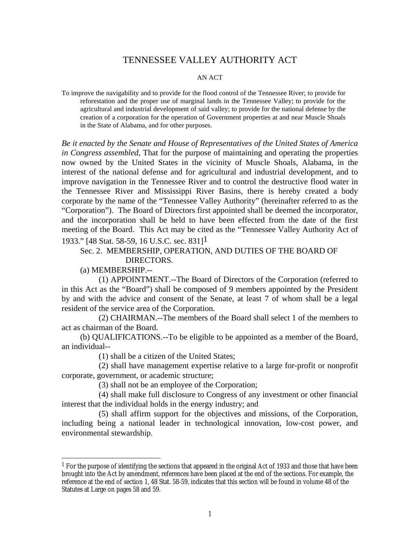## TENNESSEE VALLEY AUTHORITY ACT

#### AN ACT

To improve the navigability and to provide for the flood control of the Tennessee River; to provide for reforestation and the proper use of marginal lands in the Tennessee Valley; to provide for the agricultural and industrial development of said valley; to provide for the national defense by the creation of a corporation for the operation of Government properties at and near Muscle Shoals in the State of Alabama, and for other purposes.

*Be it enacted by the Senate and House of Representatives of the United States of America in Congress assembled,* That for the purpose of maintaining and operating the properties now owned by the United States in the vicinity of Muscle Shoals, Alabama, in the interest of the national defense and for agricultural and industrial development, and to improve navigation in the Tennessee River and to control the destructive flood water in the Tennessee River and Mississippi River Basins, there is hereby created a body corporate by the name of the "Tennessee Valley Authority" (hereinafter referred to as the "Corporation"). The Board of Directors first appointed shall be deemed the incorporator, and the incorporation shall be held to have been effected from the date of the first meeting of the Board. This Act may be cited as the "Tennessee Valley Authority Act of 1933." [48 Stat. 58-59, 16 U.S.C. sec. 831]1

#### Sec. 2. MEMBERSHIP, OPERATION, AND DUTIES OF THE BOARD OF

DIRECTORS.

(a) MEMBERSHIP.--

 $\overline{a}$ 

 (1) APPOINTMENT.--The Board of Directors of the Corporation (referred to in this Act as the "Board") shall be composed of 9 members appointed by the President by and with the advice and consent of the Senate, at least 7 of whom shall be a legal resident of the service area of the Corporation.

 (2) CHAIRMAN.--The members of the Board shall select 1 of the members to act as chairman of the Board.

 (b) QUALIFICATIONS.--To be eligible to be appointed as a member of the Board, an individual--

(1) shall be a citizen of the United States;

 (2) shall have management expertise relative to a large for-profit or nonprofit corporate, government, or academic structure;

(3) shall not be an employee of the Corporation;

 (4) shall make full disclosure to Congress of any investment or other financial interest that the individual holds in the energy industry; and

 (5) shall affirm support for the objectives and missions, of the Corporation, including being a national leader in technological innovation, low-cost power, and environmental stewardship.

<sup>&</sup>lt;sup>1</sup> For the purpose of identifying the sections that appeared in the original Act of 1933 and those that have been brought into the Act by amendment, references have been placed at the end of the sections. For example, the reference at the end of section 1, 48 Stat. 58-59, indicates that this section will be found in volume 48 of the Statutes at Large on pages 58 and 59.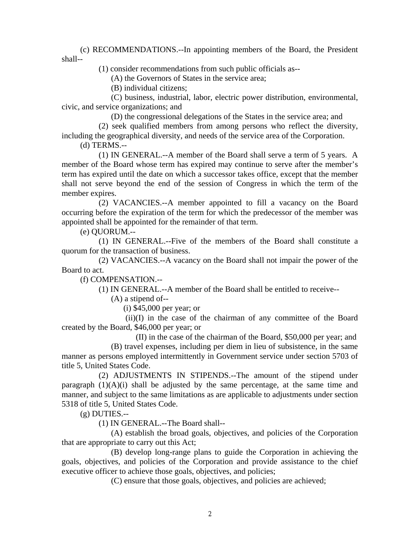(c) RECOMMENDATIONS.--In appointing members of the Board, the President shall--

(1) consider recommendations from such public officials as--

(A) the Governors of States in the service area;

(B) individual citizens;

 (C) business, industrial, labor, electric power distribution, environmental, civic, and service organizations; and

(D) the congressional delegations of the States in the service area; and

 (2) seek qualified members from among persons who reflect the diversity, including the geographical diversity, and needs of the service area of the Corporation.

(d) TERMS.--

 (1) IN GENERAL.--A member of the Board shall serve a term of 5 years. A member of the Board whose term has expired may continue to serve after the member's term has expired until the date on which a successor takes office, except that the member shall not serve beyond the end of the session of Congress in which the term of the member expires.

 (2) VACANCIES.--A member appointed to fill a vacancy on the Board occurring before the expiration of the term for which the predecessor of the member was appointed shall be appointed for the remainder of that term.

(e) QUORUM.--

 (1) IN GENERAL.--Five of the members of the Board shall constitute a quorum for the transaction of business.

 (2) VACANCIES.--A vacancy on the Board shall not impair the power of the Board to act.

(f) COMPENSATION.--

(1) IN GENERAL.--A member of the Board shall be entitled to receive--

(A) a stipend of--

(i) \$45,000 per year; or

 (ii)(I) in the case of the chairman of any committee of the Board created by the Board, \$46,000 per year; or

 (II) in the case of the chairman of the Board, \$50,000 per year; and (B) travel expenses, including per diem in lieu of subsistence, in the same manner as persons employed intermittently in Government service under section 5703 of title 5, United States Code.

 (2) ADJUSTMENTS IN STIPENDS.--The amount of the stipend under paragraph  $(1)(A)(i)$  shall be adjusted by the same percentage, at the same time and manner, and subject to the same limitations as are applicable to adjustments under section 5318 of title 5, United States Code.

 $(g)$  DUTIES.--

(1) IN GENERAL.--The Board shall--

 (A) establish the broad goals, objectives, and policies of the Corporation that are appropriate to carry out this Act;

 (B) develop long-range plans to guide the Corporation in achieving the goals, objectives, and policies of the Corporation and provide assistance to the chief executive officer to achieve those goals, objectives, and policies;

(C) ensure that those goals, objectives, and policies are achieved;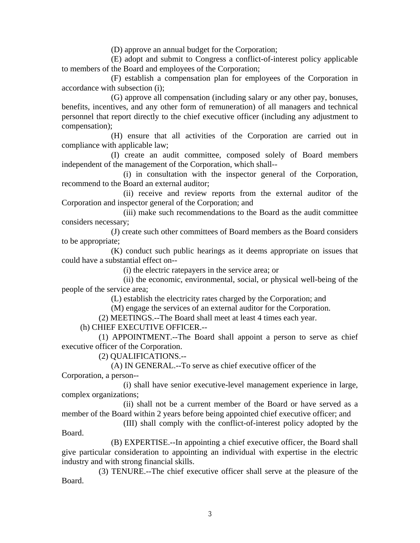(D) approve an annual budget for the Corporation;

 (E) adopt and submit to Congress a conflict-of-interest policy applicable to members of the Board and employees of the Corporation;

 (F) establish a compensation plan for employees of the Corporation in accordance with subsection (i);

 (G) approve all compensation (including salary or any other pay, bonuses, benefits, incentives, and any other form of remuneration) of all managers and technical personnel that report directly to the chief executive officer (including any adjustment to compensation);

 (H) ensure that all activities of the Corporation are carried out in compliance with applicable law;

 (I) create an audit committee, composed solely of Board members independent of the management of the Corporation, which shall--

 (i) in consultation with the inspector general of the Corporation, recommend to the Board an external auditor;

 (ii) receive and review reports from the external auditor of the Corporation and inspector general of the Corporation; and

 (iii) make such recommendations to the Board as the audit committee considers necessary;

 (J) create such other committees of Board members as the Board considers to be appropriate;

 (K) conduct such public hearings as it deems appropriate on issues that could have a substantial effect on--

(i) the electric ratepayers in the service area; or

 (ii) the economic, environmental, social, or physical well-being of the people of the service area;

(L) establish the electricity rates charged by the Corporation; and

(M) engage the services of an external auditor for the Corporation.

(2) MEETINGS.--The Board shall meet at least 4 times each year.

(h) CHIEF EXECUTIVE OFFICER.--

 (1) APPOINTMENT.--The Board shall appoint a person to serve as chief executive officer of the Corporation.

(2) QUALIFICATIONS.--

 (A) IN GENERAL.--To serve as chief executive officer of the Corporation, a person--

 (i) shall have senior executive-level management experience in large, complex organizations;

 (ii) shall not be a current member of the Board or have served as a member of the Board within 2 years before being appointed chief executive officer; and

 (III) shall comply with the conflict-of-interest policy adopted by the Board.

 (B) EXPERTISE.--In appointing a chief executive officer, the Board shall give particular consideration to appointing an individual with expertise in the electric industry and with strong financial skills.

 (3) TENURE.--The chief executive officer shall serve at the pleasure of the Board.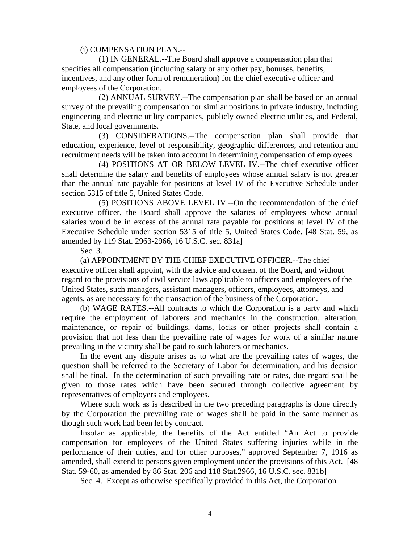#### (i) COMPENSATION PLAN.--

 (1) IN GENERAL.--The Board shall approve a compensation plan that specifies all compensation (including salary or any other pay, bonuses, benefits, incentives, and any other form of remuneration) for the chief executive officer and employees of the Corporation.

 (2) ANNUAL SURVEY.--The compensation plan shall be based on an annual survey of the prevailing compensation for similar positions in private industry, including engineering and electric utility companies, publicly owned electric utilities, and Federal, State, and local governments.

 (3) CONSIDERATIONS.--The compensation plan shall provide that education, experience, level of responsibility, geographic differences, and retention and recruitment needs will be taken into account in determining compensation of employees.

 (4) POSITIONS AT OR BELOW LEVEL IV.--The chief executive officer shall determine the salary and benefits of employees whose annual salary is not greater than the annual rate payable for positions at level IV of the Executive Schedule under section 5315 of title 5, United States Code.

 (5) POSITIONS ABOVE LEVEL IV.--On the recommendation of the chief executive officer, the Board shall approve the salaries of employees whose annual salaries would be in excess of the annual rate payable for positions at level IV of the Executive Schedule under section 5315 of title 5, United States Code. [48 Stat. 59, as amended by 119 Stat. 2963-2966, 16 U.S.C. sec. 831a]

Sec. 3.

 (a) APPOINTMENT BY THE CHIEF EXECUTIVE OFFICER.--The chief executive officer shall appoint, with the advice and consent of the Board, and without regard to the provisions of civil service laws applicable to officers and employees of the United States, such managers, assistant managers, officers, employees, attorneys, and agents, as are necessary for the transaction of the business of the Corporation.

 (b) WAGE RATES.--All contracts to which the Corporation is a party and which require the employment of laborers and mechanics in the construction, alteration, maintenance, or repair of buildings, dams, locks or other projects shall contain a provision that not less than the prevailing rate of wages for work of a similar nature prevailing in the vicinity shall be paid to such laborers or mechanics.

 In the event any dispute arises as to what are the prevailing rates of wages, the question shall be referred to the Secretary of Labor for determination, and his decision shall be final. In the determination of such prevailing rate or rates, due regard shall be given to those rates which have been secured through collective agreement by representatives of employers and employees.

Where such work as is described in the two preceding paragraphs is done directly by the Corporation the prevailing rate of wages shall be paid in the same manner as though such work had been let by contract.

 Insofar as applicable, the benefits of the Act entitled "An Act to provide compensation for employees of the United States suffering injuries while in the performance of their duties, and for other purposes," approved September 7, 1916 as amended, shall extend to persons given employment under the provisions of this Act. [48 Stat. 59-60, as amended by 86 Stat. 206 and 118 Stat.2966, 16 U.S.C. sec. 831b]

Sec. 4. Except as otherwise specifically provided in this Act, the Corporation—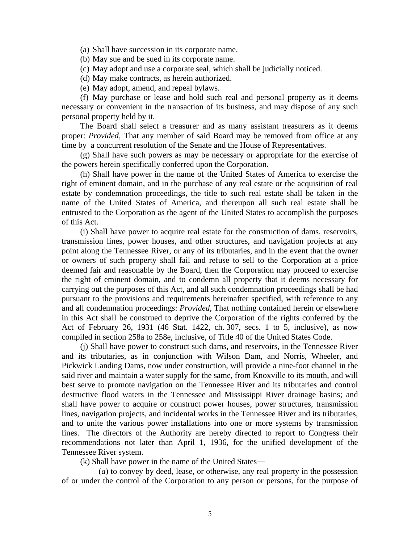(a) Shall have succession in its corporate name.

- (b) May sue and be sued in its corporate name.
- (c) May adopt and use a corporate seal, which shall be judicially noticed.
- (d) May make contracts, as herein authorized.
- (e) May adopt, amend, and repeal bylaws.

 (f) May purchase or lease and hold such real and personal property as it deems necessary or convenient in the transaction of its business, and may dispose of any such personal property held by it.

 The Board shall select a treasurer and as many assistant treasurers as it deems proper: *Provided*, That any member of said Board may be removed from office at any time by a concurrent resolution of the Senate and the House of Representatives.

 (g) Shall have such powers as may be necessary or appropriate for the exercise of the powers herein specifically conferred upon the Corporation.

 (h) Shall have power in the name of the United States of America to exercise the right of eminent domain, and in the purchase of any real estate or the acquisition of real estate by condemnation proceedings, the title to such real estate shall be taken in the name of the United States of America, and thereupon all such real estate shall be entrusted to the Corporation as the agent of the United States to accomplish the purposes of this Act.

 (i) Shall have power to acquire real estate for the construction of dams, reservoirs, transmission lines, power houses, and other structures, and navigation projects at any point along the Tennessee River, or any of its tributaries, and in the event that the owner or owners of such property shall fail and refuse to sell to the Corporation at a price deemed fair and reasonable by the Board, then the Corporation may proceed to exercise the right of eminent domain, and to condemn all property that it deems necessary for carrying out the purposes of this Act, and all such condemnation proceedings shall be had pursuant to the provisions and requirements hereinafter specified, with reference to any and all condemnation proceedings: *Provided*, That nothing contained herein or elsewhere in this Act shall be construed to deprive the Corporation of the rights conferred by the Act of February 26, 1931 (46 Stat. 1422, ch. 307, secs. 1 to 5, inclusive), as now compiled in section 258a to 258e, inclusive, of Title 40 of the United States Code.

 (j) Shall have power to construct such dams, and reservoirs, in the Tennessee River and its tributaries, as in conjunction with Wilson Dam, and Norris, Wheeler, and Pickwick Landing Dams, now under construction, will provide a nine-foot channel in the said river and maintain a water supply for the same, from Knoxville to its mouth, and will best serve to promote navigation on the Tennessee River and its tributaries and control destructive flood waters in the Tennessee and Mississippi River drainage basins; and shall have power to acquire or construct power houses, power structures, transmission lines, navigation projects, and incidental works in the Tennessee River and its tributaries, and to unite the various power installations into one or more systems by transmission lines. The directors of the Authority are hereby directed to report to Congress their recommendations not later than April 1, 1936, for the unified development of the Tennessee River system.

(k) Shall have power in the name of the United States—

 (*a*) to convey by deed, lease, or otherwise, any real property in the possession of or under the control of the Corporation to any person or persons, for the purpose of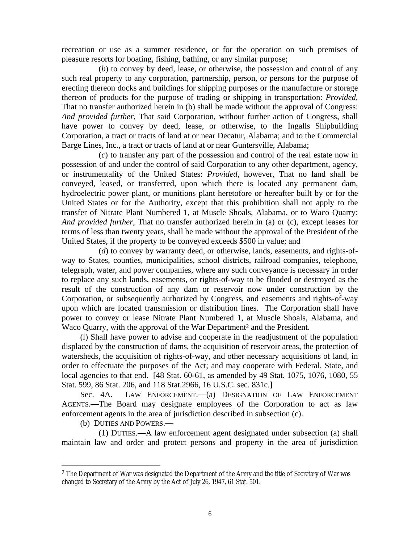recreation or use as a summer residence, or for the operation on such premises of pleasure resorts for boating, fishing, bathing, or any similar purpose;

 (*b*) to convey by deed, lease, or otherwise, the possession and control of any such real property to any corporation, partnership, person, or persons for the purpose of erecting thereon docks and buildings for shipping purposes or the manufacture or storage thereon of products for the purpose of trading or shipping in transportation: *Provided*, That no transfer authorized herein in (b) shall be made without the approval of Congress: *And provided further*, That said Corporation, without further action of Congress, shall have power to convey by deed, lease, or otherwise, to the Ingalls Shipbuilding Corporation, a tract or tracts of land at or near Decatur, Alabama; and to the Commercial Barge Lines, Inc., a tract or tracts of land at or near Guntersville, Alabama;

 (*c*) to transfer any part of the possession and control of the real estate now in possession of and under the control of said Corporation to any other department, agency, or instrumentality of the United States: *Provided*, however, That no land shall be conveyed, leased, or transferred, upon which there is located any permanent dam, hydroelectric power plant, or munitions plant heretofore or hereafter built by or for the United States or for the Authority, except that this prohibition shall not apply to the transfer of Nitrate Plant Numbered 1, at Muscle Shoals, Alabama, or to Waco Quarry: *And provided further*, That no transfer authorized herein in (a) or (c), except leases for terms of less than twenty years, shall be made without the approval of the President of the United States, if the property to be conveyed exceeds \$500 in value; and

 (*d*) to convey by warranty deed, or otherwise, lands, easements, and rights-ofway to States, counties, municipalities, school districts, railroad companies, telephone, telegraph, water, and power companies, where any such conveyance is necessary in order to replace any such lands, easements, or rights-of-way to be flooded or destroyed as the result of the construction of any dam or reservoir now under construction by the Corporation, or subsequently authorized by Congress, and easements and rights-of-way upon which are located transmission or distribution lines. The Corporation shall have power to convey or lease Nitrate Plant Numbered 1, at Muscle Shoals, Alabama, and Waco Quarry, with the approval of the War Department<sup>2</sup> and the President.

 (l) Shall have power to advise and cooperate in the readjustment of the population displaced by the construction of dams, the acquisition of reservoir areas, the protection of watersheds, the acquisition of rights-of-way, and other necessary acquisitions of land, in order to effectuate the purposes of the Act; and may cooperate with Federal, State, and local agencies to that end. [48 Stat. 60-61, as amended by 49 Stat. 1075, 1076, 1080, 55 Stat. 599, 86 Stat. 206, and 118 Stat.2966, 16 U.S.C. sec. 831c.]

Sec. 4A. LAW ENFORCEMENT. (a) DESIGNATION OF LAW ENFORCEMENT AGENTS.—The Board may designate employees of the Corporation to act as law enforcement agents in the area of jurisdiction described in subsection (c).

(b) DUTIES AND POWERS.—

 $\overline{a}$ 

 (1) DUTIES.—A law enforcement agent designated under subsection (a) shall maintain law and order and protect persons and property in the area of jurisdiction

 $2$  The Department of War was designated the Department of the Army and the title of Secretary of War was changed to Secretary of the Army by the Act of July 26, 1947, 61 Stat. 501.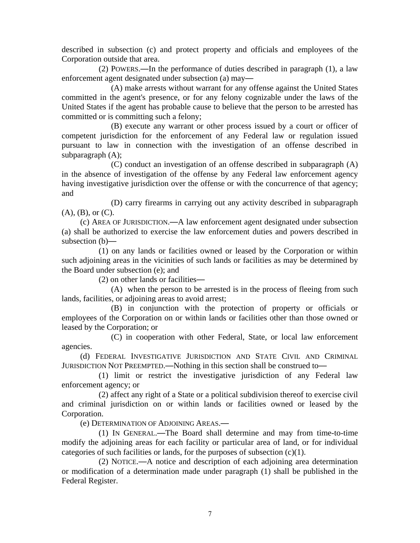described in subsection (c) and protect property and officials and employees of the Corporation outside that area.

 (2) POWERS.—In the performance of duties described in paragraph (1), a law enforcement agent designated under subsection (a) may—

 (A) make arrests without warrant for any offense against the United States committed in the agent's presence, or for any felony cognizable under the laws of the United States if the agent has probable cause to believe that the person to be arrested has committed or is committing such a felony;

 (B) execute any warrant or other process issued by a court or officer of competent jurisdiction for the enforcement of any Federal law or regulation issued pursuant to law in connection with the investigation of an offense described in subparagraph (A);

 (C) conduct an investigation of an offense described in subparagraph (A) in the absence of investigation of the offense by any Federal law enforcement agency having investigative jurisdiction over the offense or with the concurrence of that agency; and

 (D) carry firearms in carrying out any activity described in subparagraph (A), (B), or (C).

 (c) AREA OF JURISDICTION.—A law enforcement agent designated under subsection (a) shall be authorized to exercise the law enforcement duties and powers described in subsection (b)—

 (1) on any lands or facilities owned or leased by the Corporation or within such adjoining areas in the vicinities of such lands or facilities as may be determined by the Board under subsection (e); and

(2) on other lands or facilities—

 (A) when the person to be arrested is in the process of fleeing from such lands, facilities, or adjoining areas to avoid arrest;

 (B) in conjunction with the protection of property or officials or employees of the Corporation on or within lands or facilities other than those owned or leased by the Corporation; or

 (C) in cooperation with other Federal, State, or local law enforcement agencies.

 (d) FEDERAL INVESTIGATIVE JURISDICTION AND STATE CIVIL AND CRIMINAL JURISDICTION NOT PREEMPTED.—Nothing in this section shall be construed to—

 (1) limit or restrict the investigative jurisdiction of any Federal law enforcement agency; or

 (2) affect any right of a State or a political subdivision thereof to exercise civil and criminal jurisdiction on or within lands or facilities owned or leased by the Corporation.

(e) DETERMINATION OF ADJOINING AREAS.—

 (1) IN GENERAL.—The Board shall determine and may from time-to-time modify the adjoining areas for each facility or particular area of land, or for individual categories of such facilities or lands, for the purposes of subsection  $(c)(1)$ .

 (2) NOTICE.—A notice and description of each adjoining area determination or modification of a determination made under paragraph (1) shall be published in the Federal Register.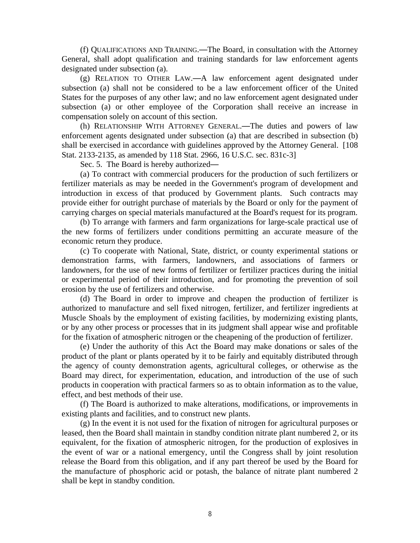(f) QUALIFICATIONS AND TRAINING.—The Board, in consultation with the Attorney General, shall adopt qualification and training standards for law enforcement agents designated under subsection (a).

 (g) RELATION TO OTHER LAW.—A law enforcement agent designated under subsection (a) shall not be considered to be a law enforcement officer of the United States for the purposes of any other law; and no law enforcement agent designated under subsection (a) or other employee of the Corporation shall receive an increase in compensation solely on account of this section.

 (h) RELATIONSHIP WITH ATTORNEY GENERAL.—The duties and powers of law enforcement agents designated under subsection (a) that are described in subsection (b) shall be exercised in accordance with guidelines approved by the Attorney General. [108 Stat. 2133-2135, as amended by 118 Stat. 2966, 16 U.S.C. sec. 831c-3]

Sec. 5. The Board is hereby authorized—

 (a) To contract with commercial producers for the production of such fertilizers or fertilizer materials as may be needed in the Government's program of development and introduction in excess of that produced by Government plants. Such contracts may provide either for outright purchase of materials by the Board or only for the payment of carrying charges on special materials manufactured at the Board's request for its program.

 (b) To arrange with farmers and farm organizations for large-scale practical use of the new forms of fertilizers under conditions permitting an accurate measure of the economic return they produce.

 (c) To cooperate with National, State, district, or county experimental stations or demonstration farms, with farmers, landowners, and associations of farmers or landowners, for the use of new forms of fertilizer or fertilizer practices during the initial or experimental period of their introduction, and for promoting the prevention of soil erosion by the use of fertilizers and otherwise.

 (d) The Board in order to improve and cheapen the production of fertilizer is authorized to manufacture and sell fixed nitrogen, fertilizer, and fertilizer ingredients at Muscle Shoals by the employment of existing facilities, by modernizing existing plants, or by any other process or processes that in its judgment shall appear wise and profitable for the fixation of atmospheric nitrogen or the cheapening of the production of fertilizer.

 (e) Under the authority of this Act the Board may make donations or sales of the product of the plant or plants operated by it to be fairly and equitably distributed through the agency of county demonstration agents, agricultural colleges, or otherwise as the Board may direct, for experimentation, education, and introduction of the use of such products in cooperation with practical farmers so as to obtain information as to the value, effect, and best methods of their use.

 (f) The Board is authorized to make alterations, modifications, or improvements in existing plants and facilities, and to construct new plants.

 (g) In the event it is not used for the fixation of nitrogen for agricultural purposes or leased, then the Board shall maintain in standby condition nitrate plant numbered 2, or its equivalent, for the fixation of atmospheric nitrogen, for the production of explosives in the event of war or a national emergency, until the Congress shall by joint resolution release the Board from this obligation, and if any part thereof be used by the Board for the manufacture of phosphoric acid or potash, the balance of nitrate plant numbered 2 shall be kept in standby condition.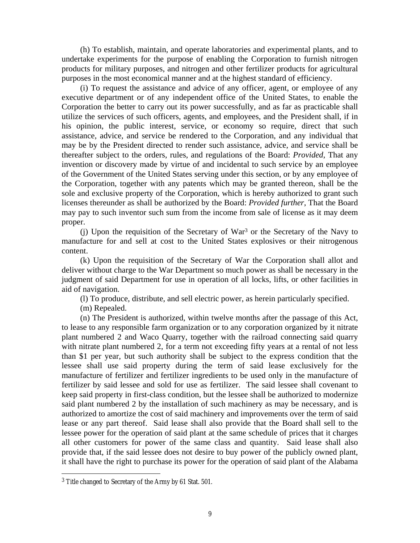(h) To establish, maintain, and operate laboratories and experimental plants, and to undertake experiments for the purpose of enabling the Corporation to furnish nitrogen products for military purposes, and nitrogen and other fertilizer products for agricultural purposes in the most economical manner and at the highest standard of efficiency.

 (i) To request the assistance and advice of any officer, agent, or employee of any executive department or of any independent office of the United States, to enable the Corporation the better to carry out its power successfully, and as far as practicable shall utilize the services of such officers, agents, and employees, and the President shall, if in his opinion, the public interest, service, or economy so require, direct that such assistance, advice, and service be rendered to the Corporation, and any individual that may be by the President directed to render such assistance, advice, and service shall be thereafter subject to the orders, rules, and regulations of the Board: *Provided*, That any invention or discovery made by virtue of and incidental to such service by an employee of the Government of the United States serving under this section, or by any employee of the Corporation, together with any patents which may be granted thereon, shall be the sole and exclusive property of the Corporation, which is hereby authorized to grant such licenses thereunder as shall be authorized by the Board: *Provided further*, That the Board may pay to such inventor such sum from the income from sale of license as it may deem proper.

 (j) Upon the requisition of the Secretary of War3 or the Secretary of the Navy to manufacture for and sell at cost to the United States explosives or their nitrogenous content.

 (k) Upon the requisition of the Secretary of War the Corporation shall allot and deliver without charge to the War Department so much power as shall be necessary in the judgment of said Department for use in operation of all locks, lifts, or other facilities in aid of navigation.

(l) To produce, distribute, and sell electric power, as herein particularly specified.

(m) Repealed.

 $\overline{a}$ 

 (n) The President is authorized, within twelve months after the passage of this Act, to lease to any responsible farm organization or to any corporation organized by it nitrate plant numbered 2 and Waco Quarry, together with the railroad connecting said quarry with nitrate plant numbered 2, for a term not exceeding fifty years at a rental of not less than \$1 per year, but such authority shall be subject to the express condition that the lessee shall use said property during the term of said lease exclusively for the manufacture of fertilizer and fertilizer ingredients to be used only in the manufacture of fertilizer by said lessee and sold for use as fertilizer. The said lessee shall covenant to keep said property in first-class condition, but the lessee shall be authorized to modernize said plant numbered 2 by the installation of such machinery as may be necessary, and is authorized to amortize the cost of said machinery and improvements over the term of said lease or any part thereof. Said lease shall also provide that the Board shall sell to the lessee power for the operation of said plant at the same schedule of prices that it charges all other customers for power of the same class and quantity. Said lease shall also provide that, if the said lessee does not desire to buy power of the publicly owned plant, it shall have the right to purchase its power for the operation of said plant of the Alabama

<sup>3</sup> Title changed to Secretary of the Army by 61 Stat. 501.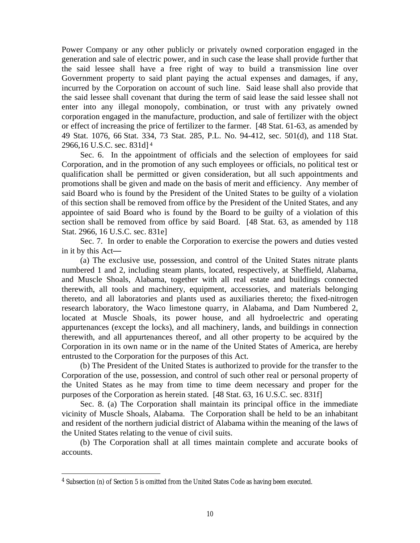Power Company or any other publicly or privately owned corporation engaged in the generation and sale of electric power, and in such case the lease shall provide further that the said lessee shall have a free right of way to build a transmission line over Government property to said plant paying the actual expenses and damages, if any, incurred by the Corporation on account of such line. Said lease shall also provide that the said lessee shall covenant that during the term of said lease the said lessee shall not enter into any illegal monopoly, combination, or trust with any privately owned corporation engaged in the manufacture, production, and sale of fertilizer with the object or effect of increasing the price of fertilizer to the farmer. [48 Stat. 61-63, as amended by 49 Stat. 1076, 66 Stat. 334, 73 Stat. 285, P.L. No. 94-412, sec. 501(d), and 118 Stat. 2966,16 U.S.C. sec. 831d] 4

 Sec. 6. In the appointment of officials and the selection of employees for said Corporation, and in the promotion of any such employees or officials, no political test or qualification shall be permitted or given consideration, but all such appointments and promotions shall be given and made on the basis of merit and efficiency. Any member of said Board who is found by the President of the United States to be guilty of a violation of this section shall be removed from office by the President of the United States, and any appointee of said Board who is found by the Board to be guilty of a violation of this section shall be removed from office by said Board. [48 Stat. 63, as amended by 118 Stat. 2966, 16 U.S.C. sec. 831e]

 Sec. 7. In order to enable the Corporation to exercise the powers and duties vested in it by this Act—

 (a) The exclusive use, possession, and control of the United States nitrate plants numbered 1 and 2, including steam plants, located, respectively, at Sheffield, Alabama, and Muscle Shoals, Alabama, together with all real estate and buildings connected therewith, all tools and machinery, equipment, accessories, and materials belonging thereto, and all laboratories and plants used as auxiliaries thereto; the fixed-nitrogen research laboratory, the Waco limestone quarry, in Alabama, and Dam Numbered 2, located at Muscle Shoals, its power house, and all hydroelectric and operating appurtenances (except the locks), and all machinery, lands, and buildings in connection therewith, and all appurtenances thereof, and all other property to be acquired by the Corporation in its own name or in the name of the United States of America, are hereby entrusted to the Corporation for the purposes of this Act.

 (b) The President of the United States is authorized to provide for the transfer to the Corporation of the use, possession, and control of such other real or personal property of the United States as he may from time to time deem necessary and proper for the purposes of the Corporation as herein stated. [48 Stat. 63, 16 U.S.C. sec. 831f]

 Sec. 8. (a) The Corporation shall maintain its principal office in the immediate vicinity of Muscle Shoals, Alabama. The Corporation shall be held to be an inhabitant and resident of the northern judicial district of Alabama within the meaning of the laws of the United States relating to the venue of civil suits.

 (b) The Corporation shall at all times maintain complete and accurate books of accounts.

 $\overline{a}$ 

<sup>4</sup> Subsection (n) of Section 5 is omitted from the United States Code as having been executed.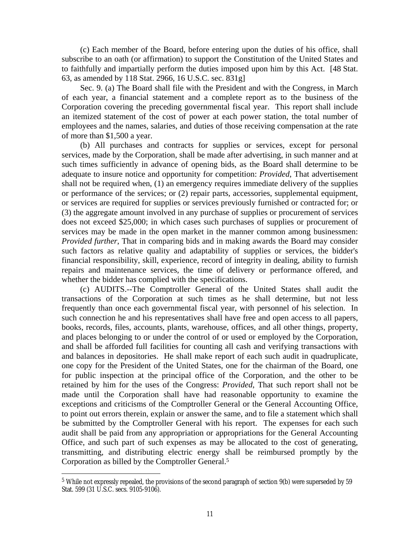(c) Each member of the Board, before entering upon the duties of his office, shall subscribe to an oath (or affirmation) to support the Constitution of the United States and to faithfully and impartially perform the duties imposed upon him by this Act. [48 Stat. 63, as amended by 118 Stat. 2966, 16 U.S.C. sec. 831g]

 Sec. 9. (a) The Board shall file with the President and with the Congress, in March of each year, a financial statement and a complete report as to the business of the Corporation covering the preceding governmental fiscal year. This report shall include an itemized statement of the cost of power at each power station, the total number of employees and the names, salaries, and duties of those receiving compensation at the rate of more than \$1,500 a year.

 (b) All purchases and contracts for supplies or services, except for personal services, made by the Corporation, shall be made after advertising, in such manner and at such times sufficiently in advance of opening bids, as the Board shall determine to be adequate to insure notice and opportunity for competition: *Provided*, That advertisement shall not be required when, (1) an emergency requires immediate delivery of the supplies or performance of the services; or (2) repair parts, accessories, supplemental equipment, or services are required for supplies or services previously furnished or contracted for; or (3) the aggregate amount involved in any purchase of supplies or procurement of services does not exceed \$25,000; in which cases such purchases of supplies or procurement of services may be made in the open market in the manner common among businessmen: *Provided further*, That in comparing bids and in making awards the Board may consider such factors as relative quality and adaptability of supplies or services, the bidder's financial responsibility, skill, experience, record of integrity in dealing, ability to furnish repairs and maintenance services, the time of delivery or performance offered, and whether the bidder has complied with the specifications.

 (c) AUDITS.--The Comptroller General of the United States shall audit the transactions of the Corporation at such times as he shall determine, but not less frequently than once each governmental fiscal year, with personnel of his selection. In such connection he and his representatives shall have free and open access to all papers, books, records, files, accounts, plants, warehouse, offices, and all other things, property, and places belonging to or under the control of or used or employed by the Corporation, and shall be afforded full facilities for counting all cash and verifying transactions with and balances in depositories. He shall make report of each such audit in quadruplicate, one copy for the President of the United States, one for the chairman of the Board, one for public inspection at the principal office of the Corporation, and the other to be retained by him for the uses of the Congress: *Provided*, That such report shall not be made until the Corporation shall have had reasonable opportunity to examine the exceptions and criticisms of the Comptroller General or the General Accounting Office, to point out errors therein, explain or answer the same, and to file a statement which shall be submitted by the Comptroller General with his report. The expenses for each such audit shall be paid from any appropriation or appropriations for the General Accounting Office, and such part of such expenses as may be allocated to the cost of generating, transmitting, and distributing electric energy shall be reimbursed promptly by the Corporation as billed by the Comptroller General.5

 $\overline{a}$ 

<sup>&</sup>lt;sup>5</sup> While not expressly repealed, the provisions of the second paragraph of section 9(b) were superseded by 59 Stat. 599 (31 U.S.C. secs. 9105-9106).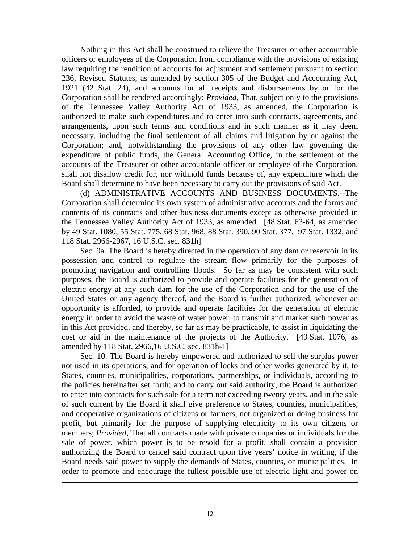Nothing in this Act shall be construed to relieve the Treasurer or other accountable officers or employees of the Corporation from compliance with the provisions of existing law requiring the rendition of accounts for adjustment and settlement pursuant to section 236, Revised Statutes, as amended by section 305 of the Budget and Accounting Act, 1921 (42 Stat. 24), and accounts for all receipts and disbursements by or for the Corporation shall be rendered accordingly: *Provided*, That, subject only to the provisions of the Tennessee Valley Authority Act of 1933, as amended, the Corporation is authorized to make such expenditures and to enter into such contracts, agreements, and arrangements, upon such terms and conditions and in such manner as it may deem necessary, including the final settlement of all claims and litigation by or against the Corporation; and, notwithstanding the provisions of any other law governing the expenditure of public funds, the General Accounting Office, in the settlement of the accounts of the Treasurer or other accountable officer or employee of the Corporation, shall not disallow credit for, nor withhold funds because of, any expenditure which the Board shall determine to have been necessary to carry out the provisions of said Act.

 (d) ADMINISTRATIVE ACCOUNTS AND BUSINESS DOCUMENTS.--The Corporation shall determine its own system of administrative accounts and the forms and contents of its contracts and other business documents except as otherwise provided in the Tennessee Valley Authority Act of 1933, as amended. [48 Stat. 63-64, as amended by 49 Stat. 1080, 55 Stat. 775, 68 Stat. 968, 88 Stat. 390, 90 Stat. 377, 97 Stat. 1332, and 118 Stat. 2966-2967, 16 U.S.C. sec. 831h]

 Sec. 9a. The Board is hereby directed in the operation of any dam or reservoir in its possession and control to regulate the stream flow primarily for the purposes of promoting navigation and controlling floods. So far as may be consistent with such purposes, the Board is authorized to provide and operate facilities for the generation of electric energy at any such dam for the use of the Corporation and for the use of the United States or any agency thereof, and the Board is further authorized, whenever an opportunity is afforded, to provide and operate facilities for the generation of electric energy in order to avoid the waste of water power, to transmit and market such power as in this Act provided, and thereby, so far as may be practicable, to assist in liquidating the cost or aid in the maintenance of the projects of the Authority. [49 Stat. 1076, as amended by 118 Stat. 2966,16 U.S.C. sec. 831h-1]

 Sec. 10. The Board is hereby empowered and authorized to sell the surplus power not used in its operations, and for operation of locks and other works generated by it, to States, counties, municipalities, corporations, partnerships, or individuals, according to the policies hereinafter set forth; and to carry out said authority, the Board is authorized to enter into contracts for such sale for a term not exceeding twenty years, and in the sale of such current by the Board it shall give preference to States, counties, municipalities, and cooperative organizations of citizens or farmers, not organized or doing business for profit, but primarily for the purpose of supplying electricity to its own citizens or members; *Provided*, That all contracts made with private companies or individuals for the sale of power, which power is to be resold for a profit, shall contain a provision authorizing the Board to cancel said contract upon five years' notice in writing, if the Board needs said power to supply the demands of States, counties, or municipalities. In order to promote and encourage the fullest possible use of electric light and power on

1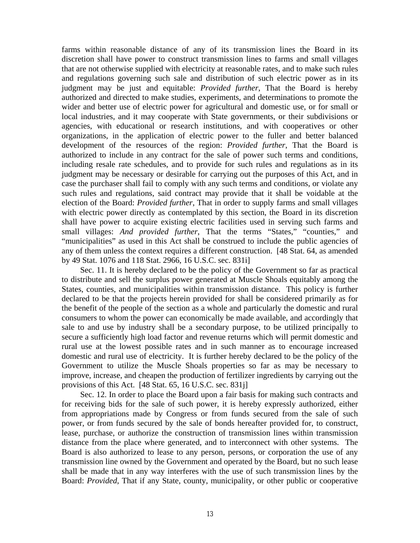farms within reasonable distance of any of its transmission lines the Board in its discretion shall have power to construct transmission lines to farms and small villages that are not otherwise supplied with electricity at reasonable rates, and to make such rules and regulations governing such sale and distribution of such electric power as in its judgment may be just and equitable: *Provided further*, That the Board is hereby authorized and directed to make studies, experiments, and determinations to promote the wider and better use of electric power for agricultural and domestic use, or for small or local industries, and it may cooperate with State governments, or their subdivisions or agencies, with educational or research institutions, and with cooperatives or other organizations, in the application of electric power to the fuller and better balanced development of the resources of the region: *Provided further*, That the Board is authorized to include in any contract for the sale of power such terms and conditions, including resale rate schedules, and to provide for such rules and regulations as in its judgment may be necessary or desirable for carrying out the purposes of this Act, and in case the purchaser shall fail to comply with any such terms and conditions, or violate any such rules and regulations, said contract may provide that it shall be voidable at the election of the Board: *Provided further*, That in order to supply farms and small villages with electric power directly as contemplated by this section, the Board in its discretion shall have power to acquire existing electric facilities used in serving such farms and small villages: *And provided further*, That the terms "States," "counties," and "municipalities" as used in this Act shall be construed to include the public agencies of any of them unless the context requires a different construction. [48 Stat. 64, as amended by 49 Stat. 1076 and 118 Stat. 2966, 16 U.S.C. sec. 831i]

 Sec. 11. It is hereby declared to be the policy of the Government so far as practical to distribute and sell the surplus power generated at Muscle Shoals equitably among the States, counties, and municipalities within transmission distance. This policy is further declared to be that the projects herein provided for shall be considered primarily as for the benefit of the people of the section as a whole and particularly the domestic and rural consumers to whom the power can economically be made available, and accordingly that sale to and use by industry shall be a secondary purpose, to be utilized principally to secure a sufficiently high load factor and revenue returns which will permit domestic and rural use at the lowest possible rates and in such manner as to encourage increased domestic and rural use of electricity. It is further hereby declared to be the policy of the Government to utilize the Muscle Shoals properties so far as may be necessary to improve, increase, and cheapen the production of fertilizer ingredients by carrying out the provisions of this Act. [48 Stat. 65, 16 U.S.C. sec. 831j]

 Sec. 12. In order to place the Board upon a fair basis for making such contracts and for receiving bids for the sale of such power, it is hereby expressly authorized, either from appropriations made by Congress or from funds secured from the sale of such power, or from funds secured by the sale of bonds hereafter provided for, to construct, lease, purchase, or authorize the construction of transmission lines within transmission distance from the place where generated, and to interconnect with other systems. The Board is also authorized to lease to any person, persons, or corporation the use of any transmission line owned by the Government and operated by the Board, but no such lease shall be made that in any way interferes with the use of such transmission lines by the Board: *Provided*, That if any State, county, municipality, or other public or cooperative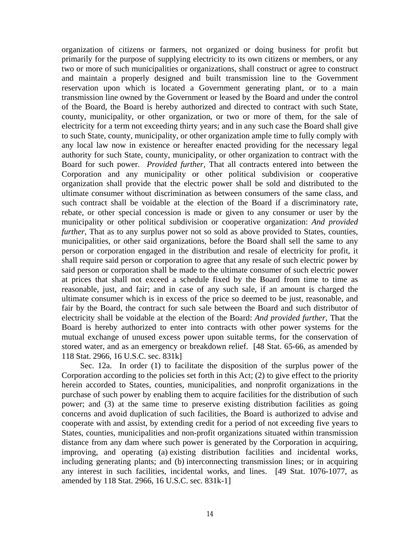organization of citizens or farmers, not organized or doing business for profit but primarily for the purpose of supplying electricity to its own citizens or members, or any two or more of such municipalities or organizations, shall construct or agree to construct and maintain a properly designed and built transmission line to the Government reservation upon which is located a Government generating plant, or to a main transmission line owned by the Government or leased by the Board and under the control of the Board, the Board is hereby authorized and directed to contract with such State, county, municipality, or other organization, or two or more of them, for the sale of electricity for a term not exceeding thirty years; and in any such case the Board shall give to such State, county, municipality, or other organization ample time to fully comply with any local law now in existence or hereafter enacted providing for the necessary legal authority for such State, county, municipality, or other organization to contract with the Board for such power. *Provided further*, That all contracts entered into between the Corporation and any municipality or other political subdivision or cooperative organization shall provide that the electric power shall be sold and distributed to the ultimate consumer without discrimination as between consumers of the same class, and such contract shall be voidable at the election of the Board if a discriminatory rate, rebate, or other special concession is made or given to any consumer or user by the municipality or other political subdivision or cooperative organization: *And provided further*, That as to any surplus power not so sold as above provided to States, counties, municipalities, or other said organizations, before the Board shall sell the same to any person or corporation engaged in the distribution and resale of electricity for profit, it shall require said person or corporation to agree that any resale of such electric power by said person or corporation shall be made to the ultimate consumer of such electric power at prices that shall not exceed a schedule fixed by the Board from time to time as reasonable, just, and fair; and in case of any such sale, if an amount is charged the ultimate consumer which is in excess of the price so deemed to be just, reasonable, and fair by the Board, the contract for such sale between the Board and such distributor of electricity shall be voidable at the election of the Board: *And provided further,* That the Board is hereby authorized to enter into contracts with other power systems for the mutual exchange of unused excess power upon suitable terms, for the conservation of stored water, and as an emergency or breakdown relief. [48 Stat. 65-66, as amended by 118 Stat. 2966, 16 U.S.C. sec. 831k]

 Sec. 12a. In order (1) to facilitate the disposition of the surplus power of the Corporation according to the policies set forth in this Act; (2) to give effect to the priority herein accorded to States, counties, municipalities, and nonprofit organizations in the purchase of such power by enabling them to acquire facilities for the distribution of such power; and (3) at the same time to preserve existing distribution facilities as going concerns and avoid duplication of such facilities, the Board is authorized to advise and cooperate with and assist, by extending credit for a period of not exceeding five years to States, counties, municipalities and non-profit organizations situated within transmission distance from any dam where such power is generated by the Corporation in acquiring, improving, and operating (a) existing distribution facilities and incidental works, including generating plants; and (b) interconnecting transmission lines; or in acquiring any interest in such facilities, incidental works, and lines. [49 Stat. 1076-1077, as amended by 118 Stat. 2966, 16 U.S.C. sec. 831k-1]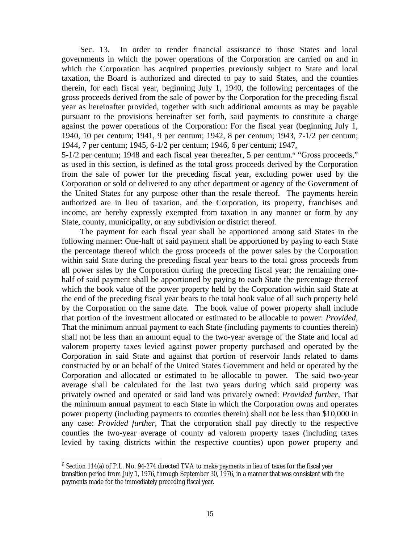Sec. 13. In order to render financial assistance to those States and local governments in which the power operations of the Corporation are carried on and in which the Corporation has acquired properties previously subject to State and local taxation, the Board is authorized and directed to pay to said States, and the counties therein, for each fiscal year, beginning July 1, 1940, the following percentages of the gross proceeds derived from the sale of power by the Corporation for the preceding fiscal year as hereinafter provided, together with such additional amounts as may be payable pursuant to the provisions hereinafter set forth, said payments to constitute a charge against the power operations of the Corporation: For the fiscal year (beginning July 1, 1940, 10 per centum; 1941, 9 per centum; 1942, 8 per centum; 1943, 7-1/2 per centum; 1944, 7 per centum; 1945, 6-1/2 per centum; 1946, 6 per centum; 1947,

5-1/2 per centum; 1948 and each fiscal year thereafter, 5 per centum.6 "Gross proceeds," as used in this section, is defined as the total gross proceeds derived by the Corporation from the sale of power for the preceding fiscal year, excluding power used by the Corporation or sold or delivered to any other department or agency of the Government of the United States for any purpose other than the resale thereof. The payments herein authorized are in lieu of taxation, and the Corporation, its property, franchises and income, are hereby expressly exempted from taxation in any manner or form by any State, county, municipality, or any subdivision or district thereof.

The payment for each fiscal year shall be apportioned among said States in the following manner: One-half of said payment shall be apportioned by paying to each State the percentage thereof which the gross proceeds of the power sales by the Corporation within said State during the preceding fiscal year bears to the total gross proceeds from all power sales by the Corporation during the preceding fiscal year; the remaining onehalf of said payment shall be apportioned by paying to each State the percentage thereof which the book value of the power property held by the Corporation within said State at the end of the preceding fiscal year bears to the total book value of all such property held by the Corporation on the same date. The book value of power property shall include that portion of the investment allocated or estimated to be allocable to power: *Provided*, That the minimum annual payment to each State (including payments to counties therein) shall not be less than an amount equal to the two-year average of the State and local ad valorem property taxes levied against power property purchased and operated by the Corporation in said State and against that portion of reservoir lands related to dams constructed by or an behalf of the United States Government and held or operated by the Corporation and allocated or estimated to be allocable to power. The said two-year average shall be calculated for the last two years during which said property was privately owned and operated or said land was privately owned: *Provided further*, That the minimum annual payment to each State in which the Corporation owns and operates power property (including payments to counties therein) shall not be less than \$10,000 in any case: *Provided further*, That the corporation shall pay directly to the respective counties the two-year average of county ad valorem property taxes (including taxes levied by taxing districts within the respective counties) upon power property and

 $\overline{a}$ 

 $6$  Section 114(a) of P.L. No. 94-274 directed TVA to make payments in lieu of taxes for the fiscal year transition period from July 1, 1976, through September 30, 1976, in a manner that was consistent with the payments made for the immediately preceding fiscal year.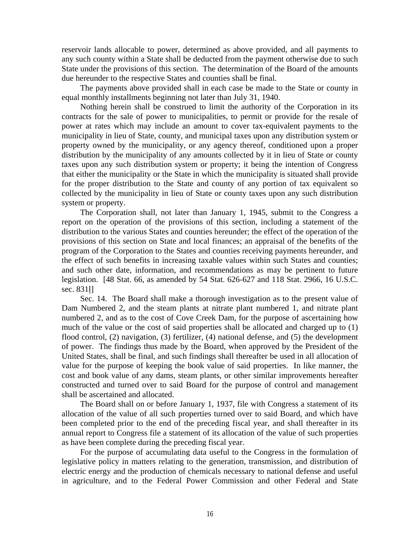reservoir lands allocable to power, determined as above provided, and all payments to any such county within a State shall be deducted from the payment otherwise due to such State under the provisions of this section. The determination of the Board of the amounts due hereunder to the respective States and counties shall be final.

The payments above provided shall in each case be made to the State or county in equal monthly installments beginning not later than July 31, 1940.

Nothing herein shall be construed to limit the authority of the Corporation in its contracts for the sale of power to municipalities, to permit or provide for the resale of power at rates which may include an amount to cover tax-equivalent payments to the municipality in lieu of State, county, and municipal taxes upon any distribution system or property owned by the municipality, or any agency thereof, conditioned upon a proper distribution by the municipality of any amounts collected by it in lieu of State or county taxes upon any such distribution system or property; it being the intention of Congress that either the municipality or the State in which the municipality is situated shall provide for the proper distribution to the State and county of any portion of tax equivalent so collected by the municipality in lieu of State or county taxes upon any such distribution system or property.

The Corporation shall, not later than January 1, 1945, submit to the Congress a report on the operation of the provisions of this section, including a statement of the distribution to the various States and counties hereunder; the effect of the operation of the provisions of this section on State and local finances; an appraisal of the benefits of the program of the Corporation to the States and counties receiving payments hereunder, and the effect of such benefits in increasing taxable values within such States and counties; and such other date, information, and recommendations as may be pertinent to future legislation. [48 Stat. 66, as amended by 54 Stat. 626-627 and 118 Stat. 2966, 16 U.S.C. sec. 831l]

Sec. 14. The Board shall make a thorough investigation as to the present value of Dam Numbered 2, and the steam plants at nitrate plant numbered 1, and nitrate plant numbered 2, and as to the cost of Cove Creek Dam, for the purpose of ascertaining how much of the value or the cost of said properties shall be allocated and charged up to (1) flood control, (2) navigation, (3) fertilizer, (4) national defense, and (5) the development of power. The findings thus made by the Board, when approved by the President of the United States, shall be final, and such findings shall thereafter be used in all allocation of value for the purpose of keeping the book value of said properties. In like manner, the cost and book value of any dams, steam plants, or other similar improvements hereafter constructed and turned over to said Board for the purpose of control and management shall be ascertained and allocated.

The Board shall on or before January 1, 1937, file with Congress a statement of its allocation of the value of all such properties turned over to said Board, and which have been completed prior to the end of the preceding fiscal year, and shall thereafter in its annual report to Congress file a statement of its allocation of the value of such properties as have been complete during the preceding fiscal year.

For the purpose of accumulating data useful to the Congress in the formulation of legislative policy in matters relating to the generation, transmission, and distribution of electric energy and the production of chemicals necessary to national defense and useful in agriculture, and to the Federal Power Commission and other Federal and State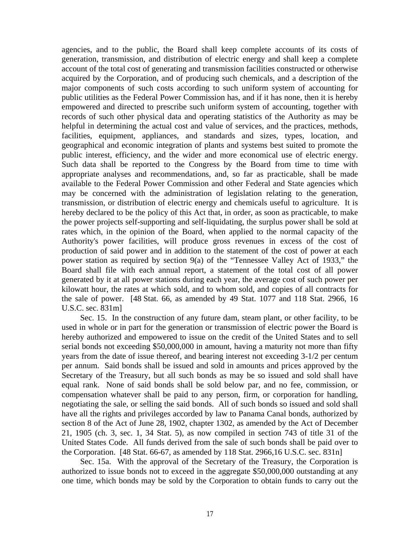agencies, and to the public, the Board shall keep complete accounts of its costs of generation, transmission, and distribution of electric energy and shall keep a complete account of the total cost of generating and transmission facilities constructed or otherwise acquired by the Corporation, and of producing such chemicals, and a description of the major components of such costs according to such uniform system of accounting for public utilities as the Federal Power Commission has, and if it has none, then it is hereby empowered and directed to prescribe such uniform system of accounting, together with records of such other physical data and operating statistics of the Authority as may be helpful in determining the actual cost and value of services, and the practices, methods, facilities, equipment, appliances, and standards and sizes, types, location, and geographical and economic integration of plants and systems best suited to promote the public interest, efficiency, and the wider and more economical use of electric energy. Such data shall be reported to the Congress by the Board from time to time with appropriate analyses and recommendations, and, so far as practicable, shall be made available to the Federal Power Commission and other Federal and State agencies which may be concerned with the administration of legislation relating to the generation, transmission, or distribution of electric energy and chemicals useful to agriculture. It is hereby declared to be the policy of this Act that, in order, as soon as practicable, to make the power projects self-supporting and self-liquidating, the surplus power shall be sold at rates which, in the opinion of the Board, when applied to the normal capacity of the Authority's power facilities, will produce gross revenues in excess of the cost of production of said power and in addition to the statement of the cost of power at each power station as required by section 9(a) of the "Tennessee Valley Act of 1933," the Board shall file with each annual report, a statement of the total cost of all power generated by it at all power stations during each year, the average cost of such power per kilowatt hour, the rates at which sold, and to whom sold, and copies of all contracts for the sale of power. [48 Stat. 66, as amended by 49 Stat. 1077 and 118 Stat. 2966, 16 U.S.C. sec. 831m]

Sec. 15. In the construction of any future dam, steam plant, or other facility, to be used in whole or in part for the generation or transmission of electric power the Board is hereby authorized and empowered to issue on the credit of the United States and to sell serial bonds not exceeding \$50,000,000 in amount, having a maturity not more than fifty years from the date of issue thereof, and bearing interest not exceeding 3-1/2 per centum per annum. Said bonds shall be issued and sold in amounts and prices approved by the Secretary of the Treasury, but all such bonds as may be so issued and sold shall have equal rank. None of said bonds shall be sold below par, and no fee, commission, or compensation whatever shall be paid to any person, firm, or corporation for handling, negotiating the sale, or selling the said bonds. All of such bonds so issued and sold shall have all the rights and privileges accorded by law to Panama Canal bonds, authorized by section 8 of the Act of June 28, 1902, chapter 1302, as amended by the Act of December 21, 1905 (ch. 3, sec. 1, 34 Stat. 5), as now compiled in section 743 of title 31 of the United States Code. All funds derived from the sale of such bonds shall be paid over to the Corporation. [48 Stat. 66-67, as amended by 118 Stat. 2966,16 U.S.C. sec. 831n]

Sec. 15a. With the approval of the Secretary of the Treasury, the Corporation is authorized to issue bonds not to exceed in the aggregate \$50,000,000 outstanding at any one time, which bonds may be sold by the Corporation to obtain funds to carry out the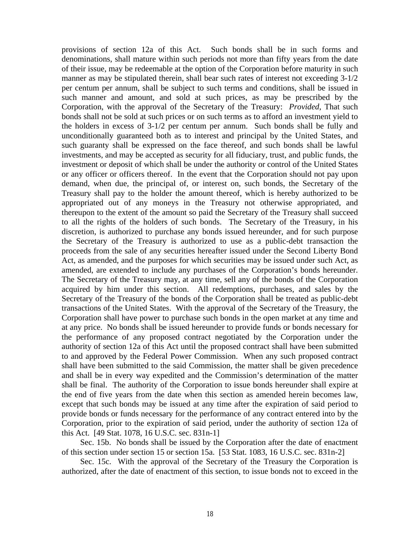provisions of section 12a of this Act. Such bonds shall be in such forms and denominations, shall mature within such periods not more than fifty years from the date of their issue, may be redeemable at the option of the Corporation before maturity in such manner as may be stipulated therein, shall bear such rates of interest not exceeding 3-1/2 per centum per annum, shall be subject to such terms and conditions, shall be issued in such manner and amount, and sold at such prices, as may be prescribed by the Corporation, with the approval of the Secretary of the Treasury: *Provided*, That such bonds shall not be sold at such prices or on such terms as to afford an investment yield to the holders in excess of 3-1/2 per centum per annum. Such bonds shall be fully and unconditionally guaranteed both as to interest and principal by the United States, and such guaranty shall be expressed on the face thereof, and such bonds shall be lawful investments, and may be accepted as security for all fiduciary, trust, and public funds, the investment or deposit of which shall be under the authority or control of the United States or any officer or officers thereof. In the event that the Corporation should not pay upon demand, when due, the principal of, or interest on, such bonds, the Secretary of the Treasury shall pay to the holder the amount thereof, which is hereby authorized to be appropriated out of any moneys in the Treasury not otherwise appropriated, and thereupon to the extent of the amount so paid the Secretary of the Treasury shall succeed to all the rights of the holders of such bonds. The Secretary of the Treasury, in his discretion, is authorized to purchase any bonds issued hereunder, and for such purpose the Secretary of the Treasury is authorized to use as a public-debt transaction the proceeds from the sale of any securities hereafter issued under the Second Liberty Bond Act, as amended, and the purposes for which securities may be issued under such Act, as amended, are extended to include any purchases of the Corporation's bonds hereunder. The Secretary of the Treasury may, at any time, sell any of the bonds of the Corporation acquired by him under this section. All redemptions, purchases, and sales by the Secretary of the Treasury of the bonds of the Corporation shall be treated as public-debt transactions of the United States. With the approval of the Secretary of the Treasury, the Corporation shall have power to purchase such bonds in the open market at any time and at any price. No bonds shall be issued hereunder to provide funds or bonds necessary for the performance of any proposed contract negotiated by the Corporation under the authority of section 12a of this Act until the proposed contract shall have been submitted to and approved by the Federal Power Commission. When any such proposed contract shall have been submitted to the said Commission, the matter shall be given precedence and shall be in every way expedited and the Commission's determination of the matter shall be final. The authority of the Corporation to issue bonds hereunder shall expire at the end of five years from the date when this section as amended herein becomes law, except that such bonds may be issued at any time after the expiration of said period to provide bonds or funds necessary for the performance of any contract entered into by the Corporation, prior to the expiration of said period, under the authority of section 12a of this Act. [49 Stat. 1078, 16 U.S.C. sec. 831n-1]

Sec. 15b. No bonds shall be issued by the Corporation after the date of enactment of this section under section 15 or section 15a. [53 Stat. 1083, 16 U.S.C. sec. 831n-2]

Sec. 15c. With the approval of the Secretary of the Treasury the Corporation is authorized, after the date of enactment of this section, to issue bonds not to exceed in the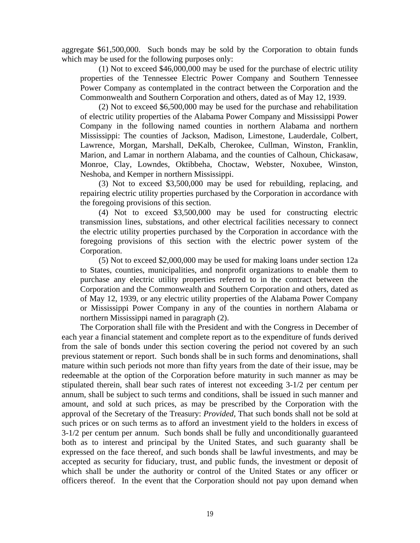aggregate \$61,500,000. Such bonds may be sold by the Corporation to obtain funds which may be used for the following purposes only:

(1) Not to exceed \$46,000,000 may be used for the purchase of electric utility properties of the Tennessee Electric Power Company and Southern Tennessee Power Company as contemplated in the contract between the Corporation and the Commonwealth and Southern Corporation and others, dated as of May 12, 1939.

 (2) Not to exceed \$6,500,000 may be used for the purchase and rehabilitation of electric utility properties of the Alabama Power Company and Mississippi Power Company in the following named counties in northern Alabama and northern Mississippi: The counties of Jackson, Madison, Limestone, Lauderdale, Colbert, Lawrence, Morgan, Marshall, DeKalb, Cherokee, Cullman, Winston, Franklin, Marion, and Lamar in northern Alabama, and the counties of Calhoun, Chickasaw, Monroe, Clay, Lowndes, Oktibbeha, Choctaw, Webster, Noxubee, Winston, Neshoba, and Kemper in northern Mississippi.

 (3) Not to exceed \$3,500,000 may be used for rebuilding, replacing, and repairing electric utility properties purchased by the Corporation in accordance with the foregoing provisions of this section.

 (4) Not to exceed \$3,500,000 may be used for constructing electric transmission lines, substations, and other electrical facilities necessary to connect the electric utility properties purchased by the Corporation in accordance with the foregoing provisions of this section with the electric power system of the Corporation.

 (5) Not to exceed \$2,000,000 may be used for making loans under section 12a to States, counties, municipalities, and nonprofit organizations to enable them to purchase any electric utility properties referred to in the contract between the Corporation and the Commonwealth and Southern Corporation and others, dated as of May 12, 1939, or any electric utility properties of the Alabama Power Company or Mississippi Power Company in any of the counties in northern Alabama or northern Mississippi named in paragraph (2).

 The Corporation shall file with the President and with the Congress in December of each year a financial statement and complete report as to the expenditure of funds derived from the sale of bonds under this section covering the period not covered by an such previous statement or report. Such bonds shall be in such forms and denominations, shall mature within such periods not more than fifty years from the date of their issue, may be redeemable at the option of the Corporation before maturity in such manner as may be stipulated therein, shall bear such rates of interest not exceeding 3-1/2 per centum per annum, shall be subject to such terms and conditions, shall be issued in such manner and amount, and sold at such prices, as may be prescribed by the Corporation with the approval of the Secretary of the Treasury: *Provided*, That such bonds shall not be sold at such prices or on such terms as to afford an investment yield to the holders in excess of 3-1/2 per centum per annum. Such bonds shall be fully and unconditionally guaranteed both as to interest and principal by the United States, and such guaranty shall be expressed on the face thereof, and such bonds shall be lawful investments, and may be accepted as security for fiduciary, trust, and public funds, the investment or deposit of which shall be under the authority or control of the United States or any officer or officers thereof. In the event that the Corporation should not pay upon demand when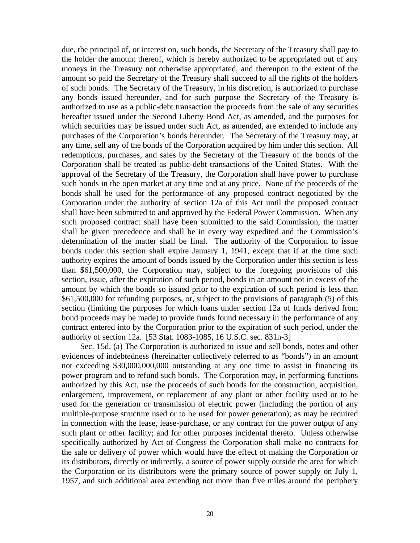due, the principal of, or interest on, such bonds, the Secretary of the Treasury shall pay to the holder the amount thereof, which is hereby authorized to be appropriated out of any moneys in the Treasury not otherwise appropriated, and thereupon to the extent of the amount so paid the Secretary of the Treasury shall succeed to all the rights of the holders of such bonds. The Secretary of the Treasury, in his discretion, is authorized to purchase any bonds issued hereunder, and for such purpose the Secretary of the Treasury is authorized to use as a public-debt transaction the proceeds from the sale of any securities hereafter issued under the Second Liberty Bond Act, as amended, and the purposes for which securities may be issued under such Act, as amended, are extended to include any purchases of the Corporation's bonds hereunder. The Secretary of the Treasury may, at any time, sell any of the bonds of the Corporation acquired by him under this section. All redemptions, purchases, and sales by the Secretary of the Treasury of the bonds of the Corporation shall be treated as public-debt transactions of the United States. With the approval of the Secretary of the Treasury, the Corporation shall have power to purchase such bonds in the open market at any time and at any price. None of the proceeds of the bonds shall be used for the performance of any proposed contract negotiated by the Corporation under the authority of section 12a of this Act until the proposed contract shall have been submitted to and approved by the Federal Power Commission. When any such proposed contract shall have been submitted to the said Commission, the matter shall be given precedence and shall be in every way expedited and the Commission's determination of the matter shall be final. The authority of the Corporation to issue bonds under this section shall expire January 1, 1941, except that if at the time such authority expires the amount of bonds issued by the Corporation under this section is less than \$61,500,000, the Corporation may, subject to the foregoing provisions of this section, issue, after the expiration of such period, bonds in an amount not in excess of the amount by which the bonds so issued prior to the expiration of such period is less than \$61,500,000 for refunding purposes, or, subject to the provisions of paragraph (5) of this section (limiting the purposes for which loans under section 12a of funds derived from bond proceeds may be made) to provide funds found necessary in the performance of any contract entered into by the Corporation prior to the expiration of such period, under the authority of section 12a. [53 Stat. 1083-1085, 16 U.S.C. sec. 831n-3]

Sec. 15d. (a) The Corporation is authorized to issue and sell bonds, notes and other evidences of indebtedness (hereinafter collectively referred to as "bonds") in an amount not exceeding \$30,000,000,000 outstanding at any one time to assist in financing its power program and to refund such bonds. The Corporation may, in performing functions authorized by this Act, use the proceeds of such bonds for the construction, acquisition, enlargement, improvement, or replacement of any plant or other facility used or to be used for the generation or transmission of electric power (including the portion of any multiple-purpose structure used or to be used for power generation); as may be required in connection with the lease, lease-purchase, or any contract for the power output of any such plant or other facility; and for other purposes incidental thereto. Unless otherwise specifically authorized by Act of Congress the Corporation shall make no contracts for the sale or delivery of power which would have the effect of making the Corporation or its distributors, directly or indirectly, a source of power supply outside the area for which the Corporation or its distributors were the primary source of power supply on July 1, 1957, and such additional area extending not more than five miles around the periphery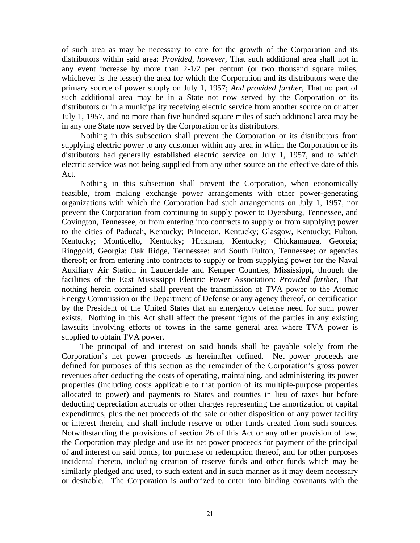of such area as may be necessary to care for the growth of the Corporation and its distributors within said area: *Provided, however,* That such additional area shall not in any event increase by more than 2-1/2 per centum (or two thousand square miles, whichever is the lesser) the area for which the Corporation and its distributors were the primary source of power supply on July 1, 1957; *And provided further*, That no part of such additional area may be in a State not now served by the Corporation or its distributors or in a municipality receiving electric service from another source on or after July 1, 1957, and no more than five hundred square miles of such additional area may be in any one State now served by the Corporation or its distributors.

Nothing in this subsection shall prevent the Corporation or its distributors from supplying electric power to any customer within any area in which the Corporation or its distributors had generally established electric service on July 1, 1957, and to which electric service was not being supplied from any other source on the effective date of this Act.

Nothing in this subsection shall prevent the Corporation, when economically feasible, from making exchange power arrangements with other power-generating organizations with which the Corporation had such arrangements on July 1, 1957, nor prevent the Corporation from continuing to supply power to Dyersburg, Tennessee, and Covington, Tennessee, or from entering into contracts to supply or from supplying power to the cities of Paducah, Kentucky; Princeton, Kentucky; Glasgow, Kentucky; Fulton, Kentucky; Monticello, Kentucky; Hickman, Kentucky; Chickamauga, Georgia; Ringgold, Georgia; Oak Ridge, Tennessee; and South Fulton, Tennessee; or agencies thereof; or from entering into contracts to supply or from supplying power for the Naval Auxiliary Air Station in Lauderdale and Kemper Counties, Mississippi, through the facilities of the East Mississippi Electric Power Association: *Provided further,* That nothing herein contained shall prevent the transmission of TVA power to the Atomic Energy Commission or the Department of Defense or any agency thereof, on certification by the President of the United States that an emergency defense need for such power exists. Nothing in this Act shall affect the present rights of the parties in any existing lawsuits involving efforts of towns in the same general area where TVA power is supplied to obtain TVA power.

The principal of and interest on said bonds shall be payable solely from the Corporation's net power proceeds as hereinafter defined. Net power proceeds are defined for purposes of this section as the remainder of the Corporation's gross power revenues after deducting the costs of operating, maintaining, and administering its power properties (including costs applicable to that portion of its multiple-purpose properties allocated to power) and payments to States and counties in lieu of taxes but before deducting depreciation accruals or other charges representing the amortization of capital expenditures, plus the net proceeds of the sale or other disposition of any power facility or interest therein, and shall include reserve or other funds created from such sources. Notwithstanding the provisions of section 26 of this Act or any other provision of law, the Corporation may pledge and use its net power proceeds for payment of the principal of and interest on said bonds, for purchase or redemption thereof, and for other purposes incidental thereto, including creation of reserve funds and other funds which may be similarly pledged and used, to such extent and in such manner as it may deem necessary or desirable. The Corporation is authorized to enter into binding covenants with the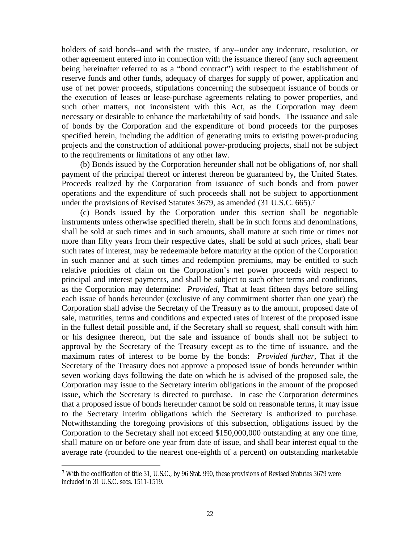holders of said bonds--and with the trustee, if any--under any indenture, resolution, or other agreement entered into in connection with the issuance thereof (any such agreement being hereinafter referred to as a "bond contract") with respect to the establishment of reserve funds and other funds, adequacy of charges for supply of power, application and use of net power proceeds, stipulations concerning the subsequent issuance of bonds or the execution of leases or lease-purchase agreements relating to power properties, and such other matters, not inconsistent with this Act, as the Corporation may deem necessary or desirable to enhance the marketability of said bonds. The issuance and sale of bonds by the Corporation and the expenditure of bond proceeds for the purposes specified herein, including the addition of generating units to existing power-producing projects and the construction of additional power-producing projects, shall not be subject to the requirements or limitations of any other law.

(b) Bonds issued by the Corporation hereunder shall not be obligations of, nor shall payment of the principal thereof or interest thereon be guaranteed by, the United States. Proceeds realized by the Corporation from issuance of such bonds and from power operations and the expenditure of such proceeds shall not be subject to apportionment under the provisions of Revised Statutes 3679, as amended (31 U.S.C. 665).<sup>7</sup>

(c) Bonds issued by the Corporation under this section shall be negotiable instruments unless otherwise specified therein, shall be in such forms and denominations, shall be sold at such times and in such amounts, shall mature at such time or times not more than fifty years from their respective dates, shall be sold at such prices, shall bear such rates of interest, may be redeemable before maturity at the option of the Corporation in such manner and at such times and redemption premiums, may be entitled to such relative priorities of claim on the Corporation's net power proceeds with respect to principal and interest payments, and shall be subject to such other terms and conditions, as the Corporation may determine: *Provided,* That at least fifteen days before selling each issue of bonds hereunder (exclusive of any commitment shorter than one year) the Corporation shall advise the Secretary of the Treasury as to the amount, proposed date of sale, maturities, terms and conditions and expected rates of interest of the proposed issue in the fullest detail possible and, if the Secretary shall so request, shall consult with him or his designee thereon, but the sale and issuance of bonds shall not be subject to approval by the Secretary of the Treasury except as to the time of issuance, and the maximum rates of interest to be borne by the bonds: *Provided further*, That if the Secretary of the Treasury does not approve a proposed issue of bonds hereunder within seven working days following the date on which he is advised of the proposed sale, the Corporation may issue to the Secretary interim obligations in the amount of the proposed issue, which the Secretary is directed to purchase. In case the Corporation determines that a proposed issue of bonds hereunder cannot be sold on reasonable terms, it may issue to the Secretary interim obligations which the Secretary is authorized to purchase. Notwithstanding the foregoing provisions of this subsection, obligations issued by the Corporation to the Secretary shall not exceed \$150,000,000 outstanding at any one time, shall mature on or before one year from date of issue, and shall bear interest equal to the average rate (rounded to the nearest one-eighth of a percent) on outstanding marketable

 $\overline{a}$ 

<sup>7</sup> With the codification of title 31, U.S.C., by 96 Stat. 990, these provisions of Revised Statutes 3679 were included in 31 U.S.C. secs. 1511-1519.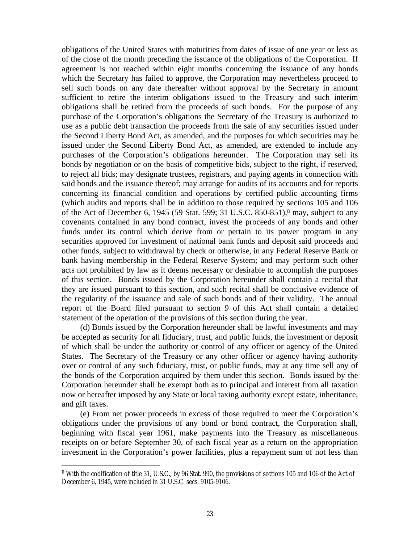obligations of the United States with maturities from dates of issue of one year or less as of the close of the month preceding the issuance of the obligations of the Corporation. If agreement is not reached within eight months concerning the issuance of any bonds which the Secretary has failed to approve, the Corporation may nevertheless proceed to sell such bonds on any date thereafter without approval by the Secretary in amount sufficient to retire the interim obligations issued to the Treasury and such interim obligations shall be retired from the proceeds of such bonds. For the purpose of any purchase of the Corporation's obligations the Secretary of the Treasury is authorized to use as a public debt transaction the proceeds from the sale of any securities issued under the Second Liberty Bond Act, as amended, and the purposes for which securities may be issued under the Second Liberty Bond Act, as amended, are extended to include any purchases of the Corporation's obligations hereunder. The Corporation may sell its bonds by negotiation or on the basis of competitive bids, subject to the right, if reserved, to reject all bids; may designate trustees, registrars, and paying agents in connection with said bonds and the issuance thereof; may arrange for audits of its accounts and for reports concerning its financial condition and operations by certified public accounting firms (which audits and reports shall be in addition to those required by sections 105 and 106 of the Act of December 6, 1945 (59 Stat. 599; 31 U.S.C. 850-851),8 may, subject to any covenants contained in any bond contract, invest the proceeds of any bonds and other funds under its control which derive from or pertain to its power program in any securities approved for investment of national bank funds and deposit said proceeds and other funds, subject to withdrawal by check or otherwise, in any Federal Reserve Bank or bank having membership in the Federal Reserve System; and may perform such other acts not prohibited by law as it deems necessary or desirable to accomplish the purposes of this section. Bonds issued by the Corporation hereunder shall contain a recital that they are issued pursuant to this section, and such recital shall be conclusive evidence of the regularity of the issuance and sale of such bonds and of their validity. The annual report of the Board filed pursuant to section 9 of this Act shall contain a detailed statement of the operation of the provisions of this section during the year.

(d) Bonds issued by the Corporation hereunder shall be lawful investments and may be accepted as security for all fiduciary, trust, and public funds, the investment or deposit of which shall be under the authority or control of any officer or agency of the United States. The Secretary of the Treasury or any other officer or agency having authority over or control of any such fiduciary, trust, or public funds, may at any time sell any of the bonds of the Corporation acquired by them under this section. Bonds issued by the Corporation hereunder shall be exempt both as to principal and interest from all taxation now or hereafter imposed by any State or local taxing authority except estate, inheritance, and gift taxes.

(e) From net power proceeds in excess of those required to meet the Corporation's obligations under the provisions of any bond or bond contract, the Corporation shall, beginning with fiscal year 1961, make payments into the Treasury as miscellaneous receipts on or before September 30, of each fiscal year as a return on the appropriation investment in the Corporation's power facilities, plus a repayment sum of not less than

 $\overline{a}$ 

<sup>8</sup> With the codification of title 31, U.S.C., by 96 Stat. 990, the provisions of sections 105 and 106 of the Act of December 6, 1945, were included in 31 U.S.C. secs. 9105-9106.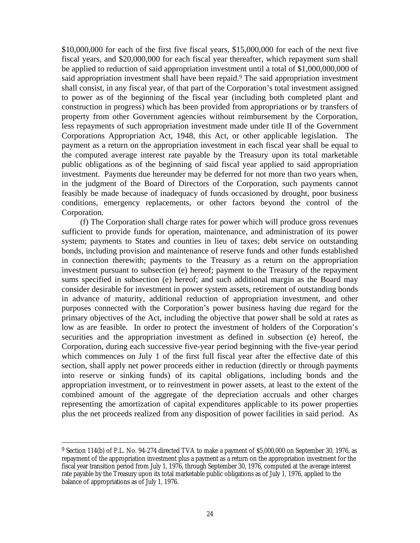\$10,000,000 for each of the first five fiscal years, \$15,000,000 for each of the next five fiscal years, and \$20,000,000 for each fiscal year thereafter, which repayment sum shall be applied to reduction of said appropriation investment until a total of \$1,000,000,000 of said appropriation investment shall have been repaid.<sup>9</sup> The said appropriation investment shall consist, in any fiscal year, of that part of the Corporation's total investment assigned to power as of the beginning of the fiscal year (including both completed plant and construction in progress) which has been provided from appropriations or by transfers of property from other Government agencies without reimbursement by the Corporation, less repayments of such appropriation investment made under title II of the Government Corporations Appropriation Act, 1948, this Act, or other applicable legislation. The payment as a return on the appropriation investment in each fiscal year shall be equal to the computed average interest rate payable by the Treasury upon its total marketable public obligations as of the beginning of said fiscal year applied to said appropriation investment. Payments due hereunder may be deferred for not more than two years when, in the judgment of the Board of Directors of the Corporation, such payments cannot feasibly be made because of inadequacy of funds occasioned by drought, poor business conditions, emergency replacements, or other factors beyond the control of the Corporation.

 (f) The Corporation shall charge rates for power which will produce gross revenues sufficient to provide funds for operation, maintenance, and administration of its power system; payments to States and counties in lieu of taxes; debt service on outstanding bonds, including provision and maintenance of reserve funds and other funds established in connection therewith; payments to the Treasury as a return on the appropriation investment pursuant to subsection (e) hereof; payment to the Treasury of the repayment sums specified in subsection (e) hereof; and such additional margin as the Board may consider desirable for investment in power system assets, retirement of outstanding bonds in advance of maturity, additional reduction of appropriation investment, and other purposes connected with the Corporation's power business having due regard for the primary objectives of the Act, including the objective that power shall be sold at rates as low as are feasible. In order to protect the investment of holders of the Corporation's securities and the appropriation investment as defined in subsection (e) hereof, the Corporation, during each successive five-year period beginning with the five-year period which commences on July 1 of the first full fiscal year after the effective date of this section, shall apply net power proceeds either in reduction (directly or through payments into reserve or sinking funds) of its capital obligations, including bonds and the appropriation investment, or to reinvestment in power assets, at least to the extent of the combined amount of the aggregate of the depreciation accruals and other charges representing the amortization of capital expenditures applicable to its power properties plus the net proceeds realized from any disposition of power facilities in said period. As

1

<sup>9</sup> Section 114(b) of P.L. No. 94-274 directed TVA to make a payment of \$5,000,000 on September 30, 1976, as repayment of the appropriation investment plus a payment as a return on the appropriation investment for the fiscal year transition period from July 1, 1976, through September 30, 1976, computed at the average interest rate payable by the Treasury upon its total marketable public obligations as of July 1, 1976, applied to the balance of appropriations as of July 1, 1976.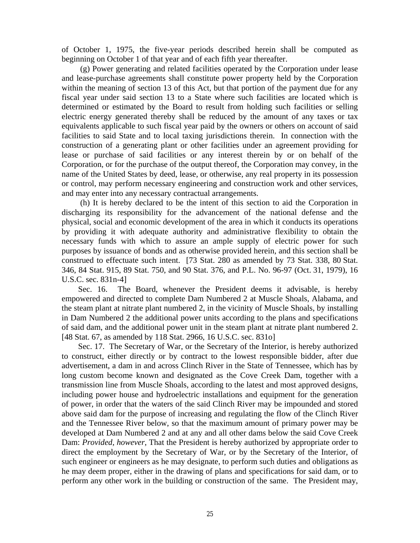of October 1, 1975, the five-year periods described herein shall be computed as beginning on October 1 of that year and of each fifth year thereafter.

 (g) Power generating and related facilities operated by the Corporation under lease and lease-purchase agreements shall constitute power property held by the Corporation within the meaning of section 13 of this Act, but that portion of the payment due for any fiscal year under said section 13 to a State where such facilities are located which is determined or estimated by the Board to result from holding such facilities or selling electric energy generated thereby shall be reduced by the amount of any taxes or tax equivalents applicable to such fiscal year paid by the owners or others on account of said facilities to said State and to local taxing jurisdictions therein. In connection with the construction of a generating plant or other facilities under an agreement providing for lease or purchase of said facilities or any interest therein by or on behalf of the Corporation, or for the purchase of the output thereof, the Corporation may convey, in the name of the United States by deed, lease, or otherwise, any real property in its possession or control, may perform necessary engineering and construction work and other services, and may enter into any necessary contractual arrangements.

 (h) It is hereby declared to be the intent of this section to aid the Corporation in discharging its responsibility for the advancement of the national defense and the physical, social and economic development of the area in which it conducts its operations by providing it with adequate authority and administrative flexibility to obtain the necessary funds with which to assure an ample supply of electric power for such purposes by issuance of bonds and as otherwise provided herein, and this section shall be construed to effectuate such intent. [73 Stat. 280 as amended by 73 Stat. 338, 80 Stat. 346, 84 Stat. 915, 89 Stat. 750, and 90 Stat. 376, and P.L. No. 96-97 (Oct. 31, 1979), 16 U.S.C. sec. 831n-4]

 Sec. 16. The Board, whenever the President deems it advisable, is hereby empowered and directed to complete Dam Numbered 2 at Muscle Shoals, Alabama, and the steam plant at nitrate plant numbered 2, in the vicinity of Muscle Shoals, by installing in Dam Numbered 2 the additional power units according to the plans and specifications of said dam, and the additional power unit in the steam plant at nitrate plant numbered 2. [48 Stat. 67, as amended by 118 Stat. 2966, 16 U.S.C. sec. 831o]

Sec. 17. The Secretary of War, or the Secretary of the Interior, is hereby authorized to construct, either directly or by contract to the lowest responsible bidder, after due advertisement, a dam in and across Clinch River in the State of Tennessee, which has by long custom become known and designated as the Cove Creek Dam, together with a transmission line from Muscle Shoals, according to the latest and most approved designs, including power house and hydroelectric installations and equipment for the generation of power, in order that the waters of the said Clinch River may be impounded and stored above said dam for the purpose of increasing and regulating the flow of the Clinch River and the Tennessee River below, so that the maximum amount of primary power may be developed at Dam Numbered 2 and at any and all other dams below the said Cove Creek Dam: *Provided*, *however*, That the President is hereby authorized by appropriate order to direct the employment by the Secretary of War, or by the Secretary of the Interior, of such engineer or engineers as he may designate, to perform such duties and obligations as he may deem proper, either in the drawing of plans and specifications for said dam, or to perform any other work in the building or construction of the same. The President may,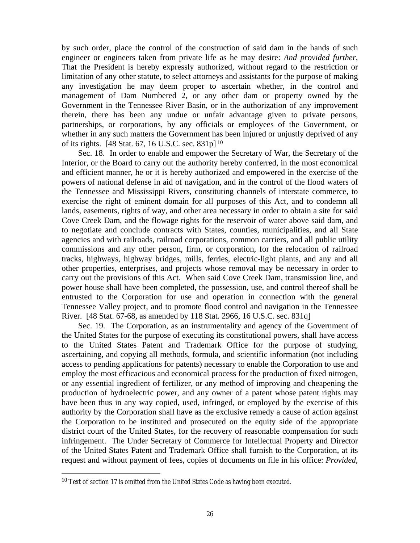by such order, place the control of the construction of said dam in the hands of such engineer or engineers taken from private life as he may desire: *And provided further*, That the President is hereby expressly authorized, without regard to the restriction or limitation of any other statute, to select attorneys and assistants for the purpose of making any investigation he may deem proper to ascertain whether, in the control and management of Dam Numbered 2, or any other dam or property owned by the Government in the Tennessee River Basin, or in the authorization of any improvement therein, there has been any undue or unfair advantage given to private persons, partnerships, or corporations, by any officials or employees of the Government, or whether in any such matters the Government has been injured or unjustly deprived of any of its rights. [48 Stat. 67, 16 U.S.C. sec. 831p] 10

Sec. 18. In order to enable and empower the Secretary of War, the Secretary of the Interior, or the Board to carry out the authority hereby conferred, in the most economical and efficient manner, he or it is hereby authorized and empowered in the exercise of the powers of national defense in aid of navigation, and in the control of the flood waters of the Tennessee and Mississippi Rivers, constituting channels of interstate commerce, to exercise the right of eminent domain for all purposes of this Act, and to condemn all lands, easements, rights of way, and other area necessary in order to obtain a site for said Cove Creek Dam, and the flowage rights for the reservoir of water above said dam, and to negotiate and conclude contracts with States, counties, municipalities, and all State agencies and with railroads, railroad corporations, common carriers, and all public utility commissions and any other person, firm, or corporation, for the relocation of railroad tracks, highways, highway bridges, mills, ferries, electric-light plants, and any and all other properties, enterprises, and projects whose removal may be necessary in order to carry out the provisions of this Act. When said Cove Creek Dam, transmission line, and power house shall have been completed, the possession, use, and control thereof shall be entrusted to the Corporation for use and operation in connection with the general Tennessee Valley project, and to promote flood control and navigation in the Tennessee River. [48 Stat. 67-68, as amended by 118 Stat. 2966, 16 U.S.C. sec. 831q]

Sec. 19. The Corporation, as an instrumentality and agency of the Government of the United States for the purpose of executing its constitutional powers, shall have access to the United States Patent and Trademark Office for the purpose of studying, ascertaining, and copying all methods, formula, and scientific information (not including access to pending applications for patents) necessary to enable the Corporation to use and employ the most efficacious and economical process for the production of fixed nitrogen, or any essential ingredient of fertilizer, or any method of improving and cheapening the production of hydroelectric power, and any owner of a patent whose patent rights may have been thus in any way copied, used, infringed, or employed by the exercise of this authority by the Corporation shall have as the exclusive remedy a cause of action against the Corporation to be instituted and prosecuted on the equity side of the appropriate district court of the United States, for the recovery of reasonable compensation for such infringement. The Under Secretary of Commerce for Intellectual Property and Director of the United States Patent and Trademark Office shall furnish to the Corporation, at its request and without payment of fees, copies of documents on file in his office: *Provided*,

1

<sup>10</sup> Text of section 17 is omitted from the United States Code as having been executed.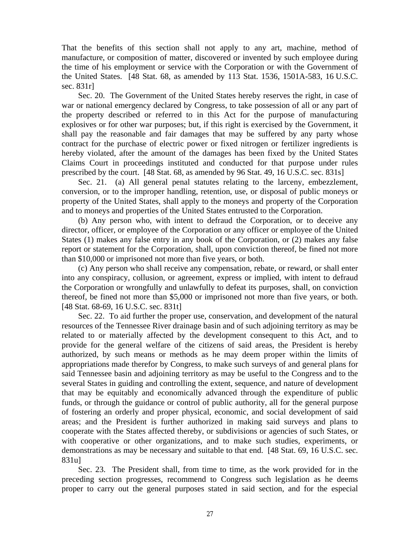That the benefits of this section shall not apply to any art, machine, method of manufacture, or composition of matter, discovered or invented by such employee during the time of his employment or service with the Corporation or with the Government of the United States. [48 Stat. 68, as amended by 113 Stat. 1536, 1501A-583, 16 U.S.C. sec. 831r]

Sec. 20. The Government of the United States hereby reserves the right, in case of war or national emergency declared by Congress, to take possession of all or any part of the property described or referred to in this Act for the purpose of manufacturing explosives or for other war purposes; but, if this right is exercised by the Government, it shall pay the reasonable and fair damages that may be suffered by any party whose contract for the purchase of electric power or fixed nitrogen or fertilizer ingredients is hereby violated, after the amount of the damages has been fixed by the United States Claims Court in proceedings instituted and conducted for that purpose under rules prescribed by the court. [48 Stat. 68, as amended by 96 Stat. 49, 16 U.S.C. sec. 831s]

Sec. 21. (a) All general penal statutes relating to the larceny, embezzlement, conversion, or to the improper handling, retention, use, or disposal of public moneys or property of the United States, shall apply to the moneys and property of the Corporation and to moneys and properties of the United States entrusted to the Corporation.

(b) Any person who, with intent to defraud the Corporation, or to deceive any director, officer, or employee of the Corporation or any officer or employee of the United States (1) makes any false entry in any book of the Corporation, or (2) makes any false report or statement for the Corporation, shall, upon conviction thereof, be fined not more than \$10,000 or imprisoned not more than five years, or both.

(c) Any person who shall receive any compensation, rebate, or reward, or shall enter into any conspiracy, collusion, or agreement, express or implied, with intent to defraud the Corporation or wrongfully and unlawfully to defeat its purposes, shall, on conviction thereof, be fined not more than \$5,000 or imprisoned not more than five years, or both. [48 Stat. 68-69, 16 U.S.C. sec. 831t]

Sec. 22. To aid further the proper use, conservation, and development of the natural resources of the Tennessee River drainage basin and of such adjoining territory as may be related to or materially affected by the development consequent to this Act, and to provide for the general welfare of the citizens of said areas, the President is hereby authorized, by such means or methods as he may deem proper within the limits of appropriations made therefor by Congress, to make such surveys of and general plans for said Tennessee basin and adjoining territory as may be useful to the Congress and to the several States in guiding and controlling the extent, sequence, and nature of development that may be equitably and economically advanced through the expenditure of public funds, or through the guidance or control of public authority, all for the general purpose of fostering an orderly and proper physical, economic, and social development of said areas; and the President is further authorized in making said surveys and plans to cooperate with the States affected thereby, or subdivisions or agencies of such States, or with cooperative or other organizations, and to make such studies, experiments, or demonstrations as may be necessary and suitable to that end. [48 Stat. 69, 16 U.S.C. sec. 831u]

Sec. 23. The President shall, from time to time, as the work provided for in the preceding section progresses, recommend to Congress such legislation as he deems proper to carry out the general purposes stated in said section, and for the especial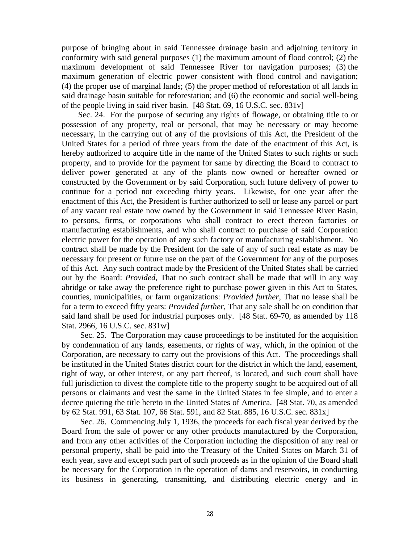purpose of bringing about in said Tennessee drainage basin and adjoining territory in conformity with said general purposes (1) the maximum amount of flood control; (2) the maximum development of said Tennessee River for navigation purposes; (3) the maximum generation of electric power consistent with flood control and navigation; (4) the proper use of marginal lands; (5) the proper method of reforestation of all lands in said drainage basin suitable for reforestation; and (6) the economic and social well-being of the people living in said river basin. [48 Stat. 69, 16 U.S.C. sec. 831v]

Sec. 24. For the purpose of securing any rights of flowage, or obtaining title to or possession of any property, real or personal, that may be necessary or may become necessary, in the carrying out of any of the provisions of this Act, the President of the United States for a period of three years from the date of the enactment of this Act, is hereby authorized to acquire title in the name of the United States to such rights or such property, and to provide for the payment for same by directing the Board to contract to deliver power generated at any of the plants now owned or hereafter owned or constructed by the Government or by said Corporation, such future delivery of power to continue for a period not exceeding thirty years. Likewise, for one year after the enactment of this Act, the President is further authorized to sell or lease any parcel or part of any vacant real estate now owned by the Government in said Tennessee River Basin, to persons, firms, or corporations who shall contract to erect thereon factories or manufacturing establishments, and who shall contract to purchase of said Corporation electric power for the operation of any such factory or manufacturing establishment. No contract shall be made by the President for the sale of any of such real estate as may be necessary for present or future use on the part of the Government for any of the purposes of this Act. Any such contract made by the President of the United States shall be carried out by the Board: *Provided*, That no such contract shall be made that will in any way abridge or take away the preference right to purchase power given in this Act to States, counties, municipalities, or farm organizations: *Provided further*, That no lease shall be for a term to exceed fifty years: *Provided further*, That any sale shall be on condition that said land shall be used for industrial purposes only. [48 Stat. 69-70, as amended by 118 Stat. 2966, 16 U.S.C. sec. 831w]

 Sec. 25. The Corporation may cause proceedings to be instituted for the acquisition by condemnation of any lands, easements, or rights of way, which, in the opinion of the Corporation, are necessary to carry out the provisions of this Act. The proceedings shall be instituted in the United States district court for the district in which the land, easement, right of way, or other interest, or any part thereof, is located, and such court shall have full jurisdiction to divest the complete title to the property sought to be acquired out of all persons or claimants and vest the same in the United States in fee simple, and to enter a decree quieting the title hereto in the United States of America. [48 Stat. 70, as amended by 62 Stat. 991, 63 Stat. 107, 66 Stat. 591, and 82 Stat. 885, 16 U.S.C. sec. 831x]

Sec. 26. Commencing July 1, 1936, the proceeds for each fiscal year derived by the Board from the sale of power or any other products manufactured by the Corporation, and from any other activities of the Corporation including the disposition of any real or personal property, shall be paid into the Treasury of the United States on March 31 of each year, save and except such part of such proceeds as in the opinion of the Board shall be necessary for the Corporation in the operation of dams and reservoirs, in conducting its business in generating, transmitting, and distributing electric energy and in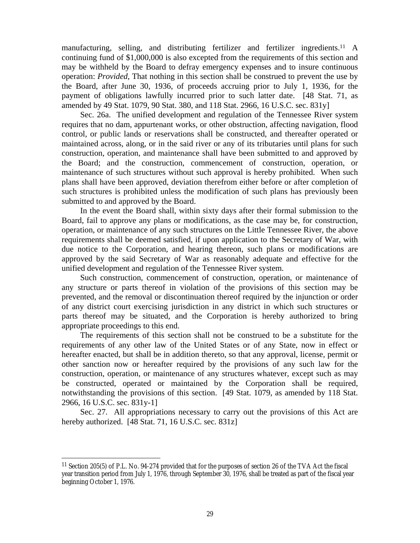manufacturing, selling, and distributing fertilizer and fertilizer ingredients.<sup>11</sup> A continuing fund of \$1,000,000 is also excepted from the requirements of this section and may be withheld by the Board to defray emergency expenses and to insure continuous operation: *Provided*, That nothing in this section shall be construed to prevent the use by the Board, after June 30, 1936, of proceeds accruing prior to July 1, 1936, for the payment of obligations lawfully incurred prior to such latter date. [48 Stat. 71, as amended by 49 Stat. 1079, 90 Stat. 380, and 118 Stat. 2966, 16 U.S.C. sec. 831y]

 Sec. 26a. The unified development and regulation of the Tennessee River system requires that no dam, appurtenant works, or other obstruction, affecting navigation, flood control, or public lands or reservations shall be constructed, and thereafter operated or maintained across, along, or in the said river or any of its tributaries until plans for such construction, operation, and maintenance shall have been submitted to and approved by the Board; and the construction, commencement of construction, operation, or maintenance of such structures without such approval is hereby prohibited. When such plans shall have been approved, deviation therefrom either before or after completion of such structures is prohibited unless the modification of such plans has previously been submitted to and approved by the Board.

In the event the Board shall, within sixty days after their formal submission to the Board, fail to approve any plans or modifications, as the case may be, for construction, operation, or maintenance of any such structures on the Little Tennessee River, the above requirements shall be deemed satisfied, if upon application to the Secretary of War, with due notice to the Corporation, and hearing thereon, such plans or modifications are approved by the said Secretary of War as reasonably adequate and effective for the unified development and regulation of the Tennessee River system.

Such construction, commencement of construction, operation, or maintenance of any structure or parts thereof in violation of the provisions of this section may be prevented, and the removal or discontinuation thereof required by the injunction or order of any district court exercising jurisdiction in any district in which such structures or parts thereof may be situated, and the Corporation is hereby authorized to bring appropriate proceedings to this end.

The requirements of this section shall not be construed to be a substitute for the requirements of any other law of the United States or of any State, now in effect or hereafter enacted, but shall be in addition thereto, so that any approval, license, permit or other sanction now or hereafter required by the provisions of any such law for the construction, operation, or maintenance of any structures whatever, except such as may be constructed, operated or maintained by the Corporation shall be required, notwithstanding the provisions of this section. [49 Stat. 1079, as amended by 118 Stat. 2966, 16 U.S.C. sec. 831y-1]

Sec. 27. All appropriations necessary to carry out the provisions of this Act are hereby authorized. [48 Stat. 71, 16 U.S.C. sec. 831z]

1

<sup>11</sup> Section 205(5) of P.L. No. 94-274 provided that for the purposes of section 26 of the TVA Act the fiscal year transition period from July 1, 1976, through September 30, 1976, shall be treated as part of the fiscal year beginning October 1, 1976.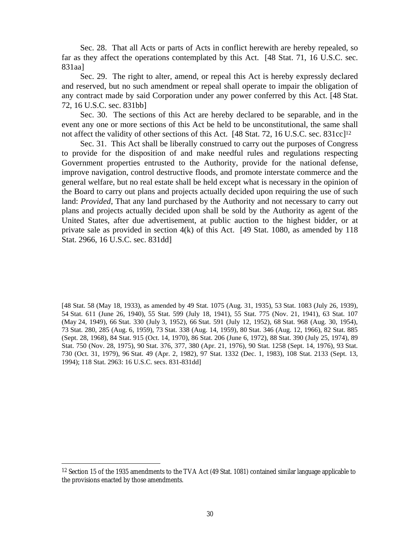Sec. 28. That all Acts or parts of Acts in conflict herewith are hereby repealed, so far as they affect the operations contemplated by this Act. [48 Stat. 71, 16 U.S.C. sec. 831aa]

Sec. 29. The right to alter, amend, or repeal this Act is hereby expressly declared and reserved, but no such amendment or repeal shall operate to impair the obligation of any contract made by said Corporation under any power conferred by this Act. [48 Stat. 72, 16 U.S.C. sec. 831bb]

 Sec. 30. The sections of this Act are hereby declared to be separable, and in the event any one or more sections of this Act be held to be unconstitutional, the same shall not affect the validity of other sections of this Act. [48 Stat. 72, 16 U.S.C. sec. 831cc]<sup>12</sup>

Sec. 31. This Act shall be liberally construed to carry out the purposes of Congress to provide for the disposition of and make needful rules and regulations respecting Government properties entrusted to the Authority, provide for the national defense, improve navigation, control destructive floods, and promote interstate commerce and the general welfare, but no real estate shall be held except what is necessary in the opinion of the Board to carry out plans and projects actually decided upon requiring the use of such land: *Provided*, That any land purchased by the Authority and not necessary to carry out plans and projects actually decided upon shall be sold by the Authority as agent of the United States, after due advertisement, at public auction to the highest bidder, or at private sale as provided in section 4(k) of this Act. [49 Stat. 1080, as amended by 118 Stat. 2966, 16 U.S.C. sec. 831dd]

[48 Stat. 58 (May 18, 1933), as amended by 49 Stat. 1075 (Aug. 31, 1935), 53 Stat. 1083 (July 26, 1939), 54 Stat. 611 (June 26, 1940), 55 Stat. 599 (July 18, 1941), 55 Stat. 775 (Nov. 21, 1941), 63 Stat. 107 (May 24, 1949), 66 Stat. 330 (July 3, 1952), 66 Stat. 591 (July 12, 1952), 68 Stat. 968 (Aug. 30, 1954), 73 Stat. 280, 285 (Aug. 6, 1959), 73 Stat. 338 (Aug. 14, 1959), 80 Stat. 346 (Aug. 12, 1966), 82 Stat. 885 (Sept. 28, 1968), 84 Stat. 915 (Oct. 14, 1970), 86 Stat. 206 (June 6, 1972), 88 Stat. 390 (July 25, 1974), 89 Stat. 750 (Nov. 28, 1975), 90 Stat. 376, 377, 380 (Apr. 21, 1976), 90 Stat. 1258 (Sept. 14, 1976), 93 Stat. 730 (Oct. 31, 1979), 96 Stat. 49 (Apr. 2, 1982), 97 Stat. 1332 (Dec. 1, 1983), 108 Stat. 2133 (Sept. 13, 1994); 118 Stat. 2963: 16 U.S.C. secs. 831-831dd]

 $\overline{a}$ 

<sup>&</sup>lt;sup>12</sup> Section 15 of the 1935 amendments to the TVA Act (49 Stat. 1081) contained similar language applicable to the provisions enacted by those amendments.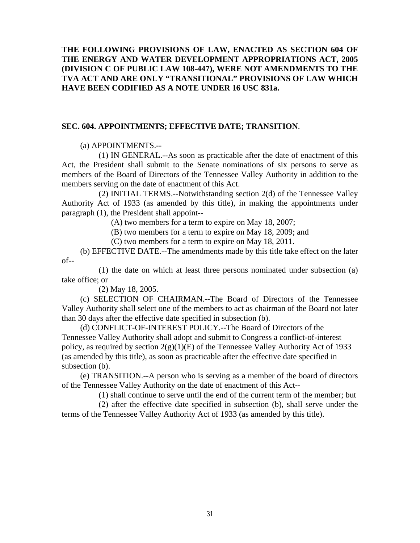### **THE FOLLOWING PROVISIONS OF LAW, ENACTED AS SECTION 604 OF THE ENERGY AND WATER DEVELOPMENT APPROPRIATIONS ACT, 2005 (DIVISION C OF PUBLIC LAW 108-447), WERE NOT AMENDMENTS TO THE TVA ACT AND ARE ONLY "TRANSITIONAL" PROVISIONS OF LAW WHICH HAVE BEEN CODIFIED AS A NOTE UNDER 16 USC 831a.**

#### **SEC. 604. APPOINTMENTS; EFFECTIVE DATE; TRANSITION**.

(a) APPOINTMENTS.--

 (1) IN GENERAL.--As soon as practicable after the date of enactment of this Act, the President shall submit to the Senate nominations of six persons to serve as members of the Board of Directors of the Tennessee Valley Authority in addition to the members serving on the date of enactment of this Act.

 (2) INITIAL TERMS.--Notwithstanding section 2(d) of the Tennessee Valley Authority Act of 1933 (as amended by this title), in making the appointments under paragraph (1), the President shall appoint--

(A) two members for a term to expire on May 18, 2007;

(B) two members for a term to expire on May 18, 2009; and

(C) two members for a term to expire on May 18, 2011.

 (b) EFFECTIVE DATE.--The amendments made by this title take effect on the later of--

 (1) the date on which at least three persons nominated under subsection (a) take office; or

(2) May 18, 2005.

 (c) SELECTION OF CHAIRMAN.--The Board of Directors of the Tennessee Valley Authority shall select one of the members to act as chairman of the Board not later than 30 days after the effective date specified in subsection (b).

 (d) CONFLICT-OF-INTEREST POLICY.--The Board of Directors of the Tennessee Valley Authority shall adopt and submit to Congress a conflict-of-interest policy, as required by section  $2(g)(1)(E)$  of the Tennessee Valley Authority Act of 1933 (as amended by this title), as soon as practicable after the effective date specified in subsection (b).

 (e) TRANSITION.--A person who is serving as a member of the board of directors of the Tennessee Valley Authority on the date of enactment of this Act--

(1) shall continue to serve until the end of the current term of the member; but

 (2) after the effective date specified in subsection (b), shall serve under the terms of the Tennessee Valley Authority Act of 1933 (as amended by this title).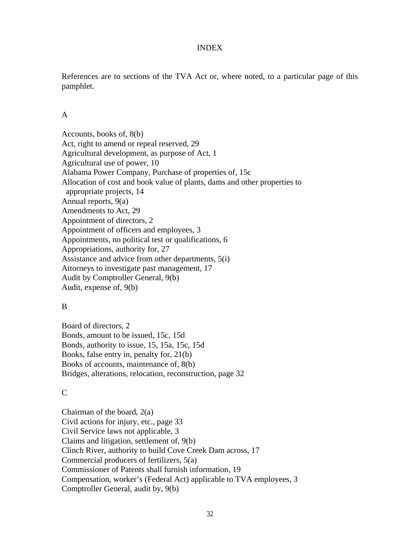#### INDEX

References are to sections of the TVA Act or, where noted, to a particular page of this pamphlet.

### A

Accounts, books of, 8(b) Act, right to amend or repeal reserved, 29 Agricultural development, as purpose of Act, 1 Agricultural use of power, 10 Alabama Power Company, Purchase of properties of, 15c Allocation of cost and book value of plants, dams and other properties to appropriate projects, 14 Annual reports, 9(a) Amendments to Act, 29 Appointment of directors, 2 Appointment of officers and employees, 3 Appointments, no political test or qualifications, 6 Appropriations, authority for, 27 Assistance and advice from other departments, 5(i) Attorneys to investigate past management, 17 Audit by Comptroller General, 9(b) Audit, expense of, 9(b)

## B

Board of directors, 2 Bonds, amount to be issued, 15c, 15d Bonds, authority to issue, 15, 15a, 15c, 15d Books, false entry in, penalty for, 21(b) Books of accounts, maintenance of, 8(b) Bridges, alterations, relocation, reconstruction, page 32

## $\overline{C}$

Chairman of the board, 2(a) Civil actions for injury, etc., page 33 Civil Service laws not applicable, 3 Claims and litigation, settlement of, 9(b) Clinch River, authority to build Cove Creek Dam across, 17 Commercial producers of fertilizers, 5(a) Commissioner of Patents shall furnish information, 19 Compensation, worker's (Federal Act) applicable to TVA employees, 3 Comptroller General, audit by, 9(b)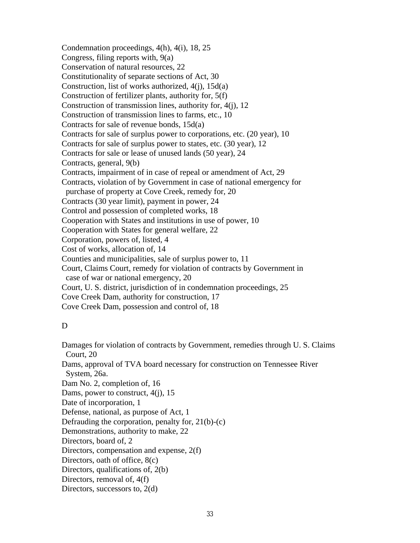Condemnation proceedings, 4(h), 4(i), 18, 25 Congress, filing reports with, 9(a) Conservation of natural resources, 22 Constitutionality of separate sections of Act, 30 Construction, list of works authorized, 4(j), 15d(a) Construction of fertilizer plants, authority for, 5(f) Construction of transmission lines, authority for, 4(j), 12 Construction of transmission lines to farms, etc., 10 Contracts for sale of revenue bonds, 15d(a) Contracts for sale of surplus power to corporations, etc. (20 year), 10 Contracts for sale of surplus power to states, etc. (30 year), 12 Contracts for sale or lease of unused lands (50 year), 24 Contracts, general, 9(b) Contracts, impairment of in case of repeal or amendment of Act, 29 Contracts, violation of by Government in case of national emergency for purchase of property at Cove Creek, remedy for, 20 Contracts (30 year limit), payment in power, 24 Control and possession of completed works, 18 Cooperation with States and institutions in use of power, 10 Cooperation with States for general welfare, 22 Corporation, powers of, listed, 4 Cost of works, allocation of, 14 Counties and municipalities, sale of surplus power to, 11 Court, Claims Court, remedy for violation of contracts by Government in case of war or national emergency, 20 Court, U. S. district, jurisdiction of in condemnation proceedings, 25 Cove Creek Dam, authority for construction, 17 Cove Creek Dam, possession and control of, 18

### D

Damages for violation of contracts by Government, remedies through U. S. Claims Court, 20 Dams, approval of TVA board necessary for construction on Tennessee River System, 26a. Dam No. 2, completion of, 16 Dams, power to construct, 4(j), 15 Date of incorporation, 1 Defense, national, as purpose of Act, 1 Defrauding the corporation, penalty for, 21(b)-(c) Demonstrations, authority to make, 22 Directors, board of, 2 Directors, compensation and expense, 2(f) Directors, oath of office, 8(c) Directors, qualifications of, 2(b) Directors, removal of, 4(f) Directors, successors to, 2(d)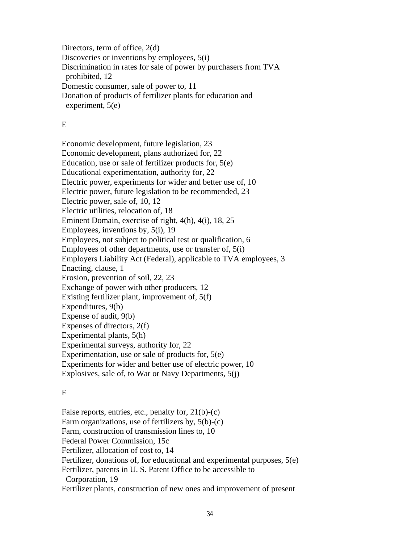Directors, term of office, 2(d) Discoveries or inventions by employees,  $5(i)$ Discrimination in rates for sale of power by purchasers from TVA prohibited, 12 Domestic consumer, sale of power to, 11 Donation of products of fertilizer plants for education and experiment, 5(e)

## E

Economic development, future legislation, 23 Economic development, plans authorized for, 22 Education, use or sale of fertilizer products for, 5(e) Educational experimentation, authority for, 22 Electric power, experiments for wider and better use of, 10 Electric power, future legislation to be recommended, 23 Electric power, sale of, 10, 12 Electric utilities, relocation of, 18 Eminent Domain, exercise of right, 4(h), 4(i), 18, 25 Employees, inventions by, 5(i), 19 Employees, not subject to political test or qualification, 6 Employees of other departments, use or transfer of, 5(i) Employers Liability Act (Federal), applicable to TVA employees, 3 Enacting, clause, 1 Erosion, prevention of soil, 22, 23 Exchange of power with other producers, 12 Existing fertilizer plant, improvement of, 5(f) Expenditures, 9(b) Expense of audit, 9(b) Expenses of directors, 2(f) Experimental plants, 5(h) Experimental surveys, authority for, 22 Experimentation, use or sale of products for, 5(e) Experiments for wider and better use of electric power, 10 Explosives, sale of, to War or Navy Departments, 5(j)

## F

False reports, entries, etc., penalty for, 21(b)-(c) Farm organizations, use of fertilizers by, 5(b)-(c) Farm, construction of transmission lines to, 10 Federal Power Commission, 15c Fertilizer, allocation of cost to, 14 Fertilizer, donations of, for educational and experimental purposes, 5(e) Fertilizer, patents in U. S. Patent Office to be accessible to Corporation, 19 Fertilizer plants, construction of new ones and improvement of present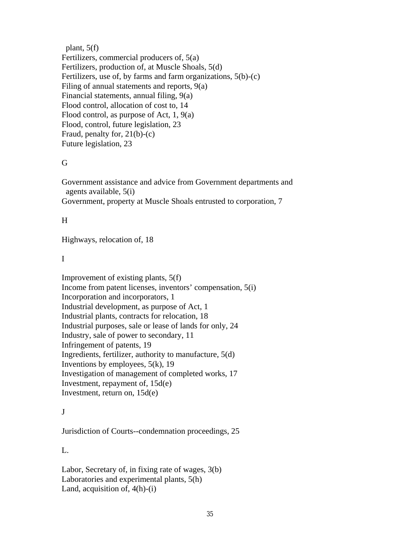plant, 5(f) Fertilizers, commercial producers of, 5(a) Fertilizers, production of, at Muscle Shoals, 5(d) Fertilizers, use of, by farms and farm organizations, 5(b)-(c) Filing of annual statements and reports, 9(a) Financial statements, annual filing, 9(a) Flood control, allocation of cost to, 14 Flood control, as purpose of Act, 1, 9(a) Flood, control, future legislation, 23 Fraud, penalty for, 21(b)-(c) Future legislation, 23

### G

Government assistance and advice from Government departments and agents available, 5(i) Government, property at Muscle Shoals entrusted to corporation, 7

## H

Highways, relocation of, 18

## I

Improvement of existing plants, 5(f) Income from patent licenses, inventors' compensation, 5(i) Incorporation and incorporators, 1 Industrial development, as purpose of Act, 1 Industrial plants, contracts for relocation, 18 Industrial purposes, sale or lease of lands for only, 24 Industry, sale of power to secondary, 11 Infringement of patents, 19 Ingredients, fertilizer, authority to manufacture, 5(d) Inventions by employees,  $5(k)$ , 19 Investigation of management of completed works, 17 Investment, repayment of, 15d(e) Investment, return on, 15d(e)

# J

Jurisdiction of Courts--condemnation proceedings, 25

L.

Labor, Secretary of, in fixing rate of wages, 3(b) Laboratories and experimental plants, 5(h) Land, acquisition of,  $4(h)-(i)$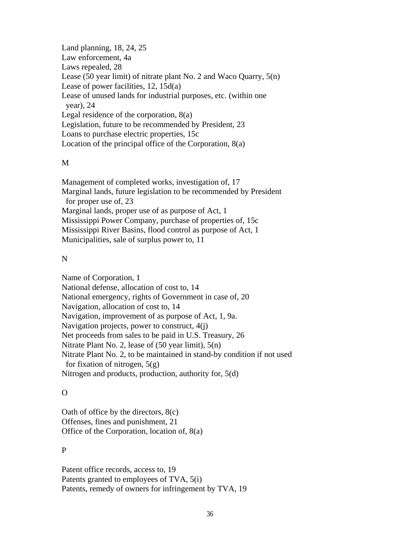Land planning, 18, 24, 25 Law enforcement, 4a Laws repealed, 28 Lease (50 year limit) of nitrate plant No. 2 and Waco Quarry, 5(n) Lease of power facilities, 12, 15d(a) Lease of unused lands for industrial purposes, etc. (within one year), 24 Legal residence of the corporation, 8(a) Legislation, future to be recommended by President, 23 Loans to purchase electric properties, 15c Location of the principal office of the Corporation, 8(a)

#### M

Management of completed works, investigation of, 17 Marginal lands, future legislation to be recommended by President for proper use of, 23 Marginal lands, proper use of as purpose of Act, 1 Mississippi Power Company, purchase of properties of, 15c Mississippi River Basins, flood control as purpose of Act, 1 Municipalities, sale of surplus power to, 11

### N

Name of Corporation, 1 National defense, allocation of cost to, 14 National emergency, rights of Government in case of, 20 Navigation, allocation of cost to, 14 Navigation, improvement of as purpose of Act, 1, 9a. Navigation projects, power to construct, 4(j) Net proceeds from sales to be paid in U.S. Treasury, 26 Nitrate Plant No. 2, lease of (50 year limit), 5(n) Nitrate Plant No. 2, to be maintained in stand-by condition if not used for fixation of nitrogen, 5(g) Nitrogen and products, production, authority for, 5(d)

## $\overline{O}$

Oath of office by the directors, 8(c) Offenses, fines and punishment, 21 Office of the Corporation, location of, 8(a)

## P

Patent office records, access to, 19 Patents granted to employees of TVA, 5(i) Patents, remedy of owners for infringement by TVA, 19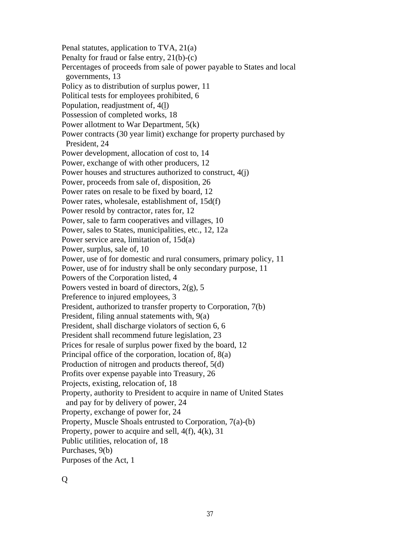Penal statutes, application to TVA, 21(a) Penalty for fraud or false entry, 21(b)-(c) Percentages of proceeds from sale of power payable to States and local governments, 13 Policy as to distribution of surplus power, 11 Political tests for employees prohibited, 6 Population, readjustment of, 4(l) Possession of completed works, 18 Power allotment to War Department, 5(k) Power contracts (30 year limit) exchange for property purchased by President, 24 Power development, allocation of cost to, 14 Power, exchange of with other producers, 12 Power houses and structures authorized to construct, 4(j) Power, proceeds from sale of, disposition, 26 Power rates on resale to be fixed by board, 12 Power rates, wholesale, establishment of, 15d(f) Power resold by contractor, rates for, 12 Power, sale to farm cooperatives and villages, 10 Power, sales to States, municipalities, etc., 12, 12a Power service area, limitation of, 15d(a) Power, surplus, sale of, 10 Power, use of for domestic and rural consumers, primary policy, 11 Power, use of for industry shall be only secondary purpose, 11 Powers of the Corporation listed, 4 Powers vested in board of directors, 2(g), 5 Preference to injured employees, 3 President, authorized to transfer property to Corporation, 7(b) President, filing annual statements with, 9(a) President, shall discharge violators of section 6, 6 President shall recommend future legislation, 23 Prices for resale of surplus power fixed by the board, 12 Principal office of the corporation, location of, 8(a) Production of nitrogen and products thereof, 5(d) Profits over expense payable into Treasury, 26 Projects, existing, relocation of, 18 Property, authority to President to acquire in name of United States and pay for by delivery of power, 24 Property, exchange of power for, 24 Property, Muscle Shoals entrusted to Corporation, 7(a)-(b) Property, power to acquire and sell, 4(f), 4(k), 31 Public utilities, relocation of, 18 Purchases, 9(b) Purposes of the Act, 1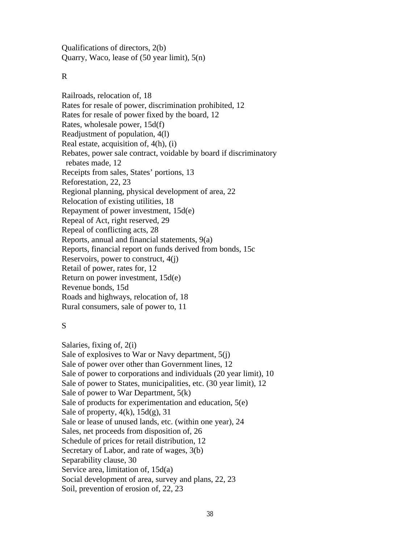Qualifications of directors, 2(b) Quarry, Waco, lease of (50 year limit), 5(n)

### R

Railroads, relocation of, 18 Rates for resale of power, discrimination prohibited, 12 Rates for resale of power fixed by the board, 12 Rates, wholesale power, 15d(f) Readjustment of population, 4(l) Real estate, acquisition of, 4(h), (i) Rebates, power sale contract, voidable by board if discriminatory rebates made, 12 Receipts from sales, States' portions, 13 Reforestation, 22, 23 Regional planning, physical development of area, 22 Relocation of existing utilities, 18 Repayment of power investment, 15d(e) Repeal of Act, right reserved, 29 Repeal of conflicting acts, 28 Reports, annual and financial statements, 9(a) Reports, financial report on funds derived from bonds, 15c Reservoirs, power to construct, 4(j) Retail of power, rates for, 12 Return on power investment, 15d(e) Revenue bonds, 15d Roads and highways, relocation of, 18 Rural consumers, sale of power to, 11

# S

Salaries, fixing of, 2(i) Sale of explosives to War or Navy department, 5(j) Sale of power over other than Government lines, 12 Sale of power to corporations and individuals (20 year limit), 10 Sale of power to States, municipalities, etc. (30 year limit), 12 Sale of power to War Department, 5(k) Sale of products for experimentation and education, 5(e) Sale of property,  $4(k)$ ,  $15d(g)$ , 31 Sale or lease of unused lands, etc. (within one year), 24 Sales, net proceeds from disposition of, 26 Schedule of prices for retail distribution, 12 Secretary of Labor, and rate of wages, 3(b) Separability clause, 30 Service area, limitation of, 15d(a) Social development of area, survey and plans, 22, 23 Soil, prevention of erosion of, 22, 23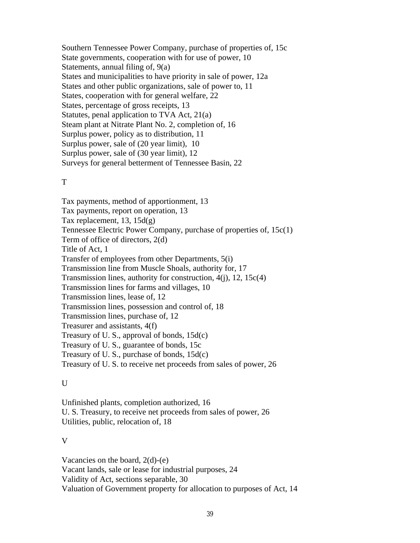Southern Tennessee Power Company, purchase of properties of, 15c State governments, cooperation with for use of power, 10 Statements, annual filing of, 9(a) States and municipalities to have priority in sale of power, 12a States and other public organizations, sale of power to, 11 States, cooperation with for general welfare, 22 States, percentage of gross receipts, 13 Statutes, penal application to TVA Act, 21(a) Steam plant at Nitrate Plant No. 2, completion of, 16 Surplus power, policy as to distribution, 11 Surplus power, sale of (20 year limit), 10 Surplus power, sale of (30 year limit), 12 Surveys for general betterment of Tennessee Basin, 22

## T

Tax payments, method of apportionment, 13 Tax payments, report on operation, 13 Tax replacement,  $13, 15d(g)$ Tennessee Electric Power Company, purchase of properties of, 15c(1) Term of office of directors, 2(d) Title of Act, 1 Transfer of employees from other Departments, 5(i) Transmission line from Muscle Shoals, authority for, 17 Transmission lines, authority for construction, 4(j), 12, 15c(4) Transmission lines for farms and villages, 10 Transmission lines, lease of, 12 Transmission lines, possession and control of, 18 Transmission lines, purchase of, 12 Treasurer and assistants, 4(f) Treasury of U. S., approval of bonds, 15d(c) Treasury of U. S., guarantee of bonds, 15c Treasury of U. S., purchase of bonds, 15d(c) Treasury of U. S. to receive net proceeds from sales of power, 26

## U

Unfinished plants, completion authorized, 16 U. S. Treasury, to receive net proceeds from sales of power, 26 Utilities, public, relocation of, 18

## V

Vacancies on the board, 2(d)-(e) Vacant lands, sale or lease for industrial purposes, 24 Validity of Act, sections separable, 30 Valuation of Government property for allocation to purposes of Act, 14